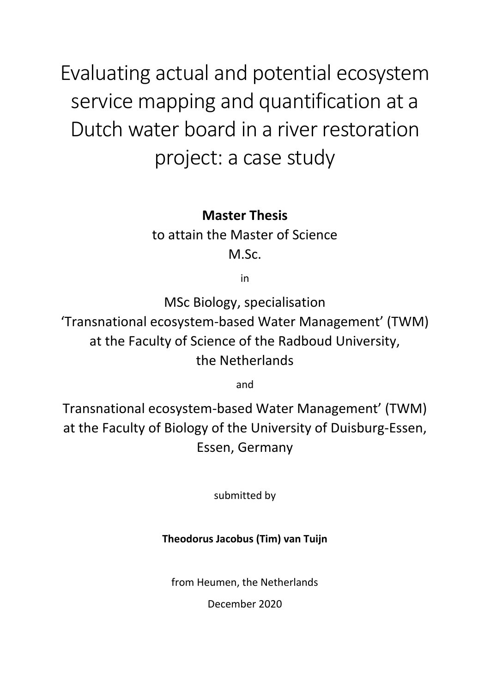Evaluating actual and potential ecosystem service mapping and quantification at a Dutch water board in a river restoration project: a case study

**Master Thesis** 

to attain the Master of Science M.Sc.

in

MSc Biology, specialisation

'Transnational ecosystem-based Water Management' (TWM) at the Faculty of Science of the Radboud University, the Netherlands

and

Transnational ecosystem-based Water Management' (TWM) at the Faculty of Biology of the University of Duisburg-Essen, Essen, Germany

submitted by

## **Theodorus Jacobus (Tim) van Tuijn**

from Heumen, the Netherlands

December 2020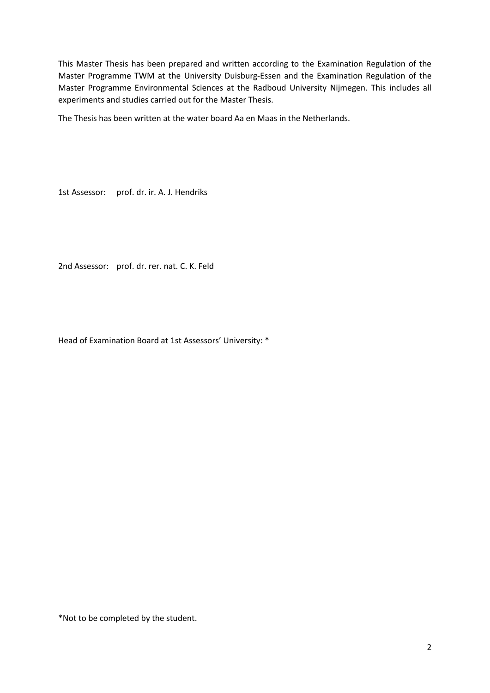This Master Thesis has been prepared and written according to the Examination Regulation of the Master Programme TWM at the University Duisburg-Essen and the Examination Regulation of the Master Programme Environmental Sciences at the Radboud University Nijmegen. This includes all experiments and studies carried out for the Master Thesis.

The Thesis has been written at the water board Aa en Maas in the Netherlands.

1st Assessor: prof. dr. ir. A. J. Hendriks

2nd Assessor: prof. dr. rer. nat. C. K. Feld

Head of Examination Board at 1st Assessors' University: \*

\*Not to be completed by the student.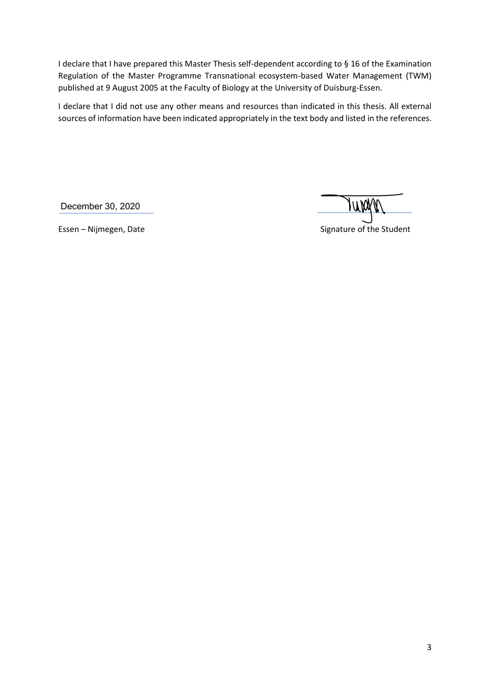I declare that I have prepared this Master Thesis self-dependent according to § 16 of the Examination Regulation of the Master Programme Transnational ecosystem-based Water Management (TWM) published at 9 August 2005 at the Faculty of Biology at the University of Duisburg-Essen.

I declare that I did not use any other means and resources than indicated in this thesis. All external sources of information have been indicated appropriately in the text body and listed in the references.

December 30, 2020

UW

Essen – Nijmegen, Date Signature of the Student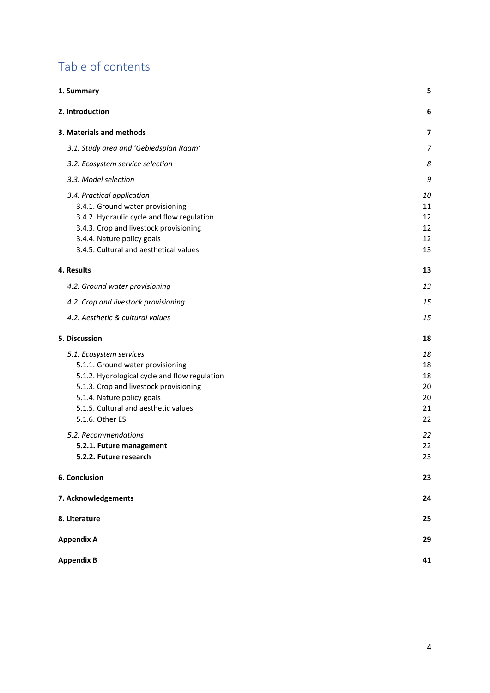# Table of contents

| 1. Summary                                                                                                                                                                                                                     | 5                                |
|--------------------------------------------------------------------------------------------------------------------------------------------------------------------------------------------------------------------------------|----------------------------------|
| 2. Introduction                                                                                                                                                                                                                | 6                                |
| 3. Materials and methods                                                                                                                                                                                                       | 7                                |
| 3.1. Study area and 'Gebiedsplan Raam'                                                                                                                                                                                         | $\overline{7}$                   |
| 3.2. Ecosystem service selection                                                                                                                                                                                               | 8                                |
| 3.3. Model selection                                                                                                                                                                                                           | 9                                |
| 3.4. Practical application<br>3.4.1. Ground water provisioning<br>3.4.2. Hydraulic cycle and flow regulation<br>3.4.3. Crop and livestock provisioning<br>3.4.4. Nature policy goals<br>3.4.5. Cultural and aesthetical values | 10<br>11<br>12<br>12<br>12<br>13 |
| 4. Results                                                                                                                                                                                                                     | 13                               |
| 4.2. Ground water provisioning                                                                                                                                                                                                 | 13                               |
| 4.2. Crop and livestock provisioning                                                                                                                                                                                           | 15                               |
| 4.2. Aesthetic & cultural values                                                                                                                                                                                               | 15                               |
| 5. Discussion                                                                                                                                                                                                                  | 18                               |
| 5.1. Ecosystem services                                                                                                                                                                                                        | 18                               |
| 5.1.1. Ground water provisioning                                                                                                                                                                                               | 18                               |
| 5.1.2. Hydrological cycle and flow regulation                                                                                                                                                                                  | 18                               |
| 5.1.3. Crop and livestock provisioning                                                                                                                                                                                         | 20                               |
| 5.1.4. Nature policy goals                                                                                                                                                                                                     | 20                               |
| 5.1.5. Cultural and aesthetic values<br>5.1.6. Other ES                                                                                                                                                                        | 21<br>22                         |
| 5.2. Recommendations                                                                                                                                                                                                           | 22                               |
| 5.2.1. Future management                                                                                                                                                                                                       | 22                               |
| 5.2.2. Future research                                                                                                                                                                                                         | 23                               |
| 6. Conclusion                                                                                                                                                                                                                  | 23                               |
| 7. Acknowledgements                                                                                                                                                                                                            | 24                               |
| 8. Literature                                                                                                                                                                                                                  | 25                               |
| <b>Appendix A</b>                                                                                                                                                                                                              | 29                               |
| <b>Appendix B</b>                                                                                                                                                                                                              | 41                               |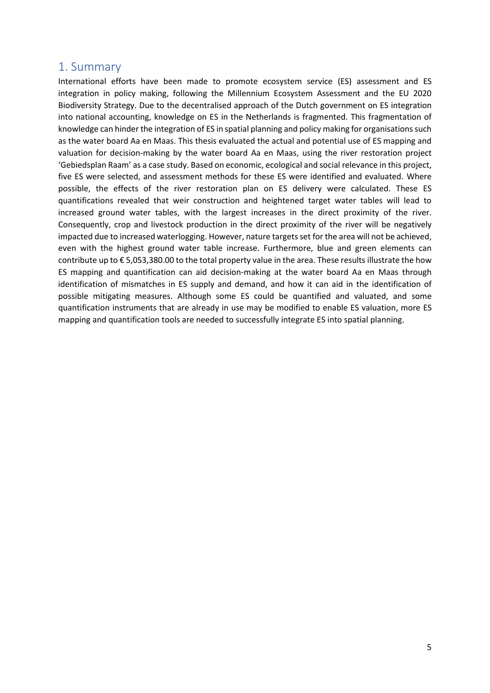### <span id="page-4-0"></span>1. Summary

International efforts have been made to promote ecosystem service (ES) assessment and ES integration in policy making, following the Millennium Ecosystem Assessment and the EU 2020 Biodiversity Strategy. Due to the decentralised approach of the Dutch government on ES integration into national accounting, knowledge on ES in the Netherlands is fragmented. This fragmentation of knowledge can hinder the integration of ES in spatial planning and policy making for organisationssuch as the water board Aa en Maas. This thesis evaluated the actual and potential use of ES mapping and valuation for decision-making by the water board Aa en Maas, using the river restoration project 'Gebiedsplan Raam' as a case study. Based on economic, ecological and social relevance in this project, five ES were selected, and assessment methods for these ES were identified and evaluated. Where possible, the effects of the river restoration plan on ES delivery were calculated. These ES quantifications revealed that weir construction and heightened target water tables will lead to increased ground water tables, with the largest increases in the direct proximity of the river. Consequently, crop and livestock production in the direct proximity of the river will be negatively impacted due to increased waterlogging. However, nature targets set for the area will not be achieved, even with the highest ground water table increase. Furthermore, blue and green elements can contribute up to € 5,053,380.00 to the total property value in the area. These results illustrate the how ES mapping and quantification can aid decision-making at the water board Aa en Maas through identification of mismatches in ES supply and demand, and how it can aid in the identification of possible mitigating measures. Although some ES could be quantified and valuated, and some quantification instruments that are already in use may be modified to enable ES valuation, more ES mapping and quantification tools are needed to successfully integrate ES into spatial planning.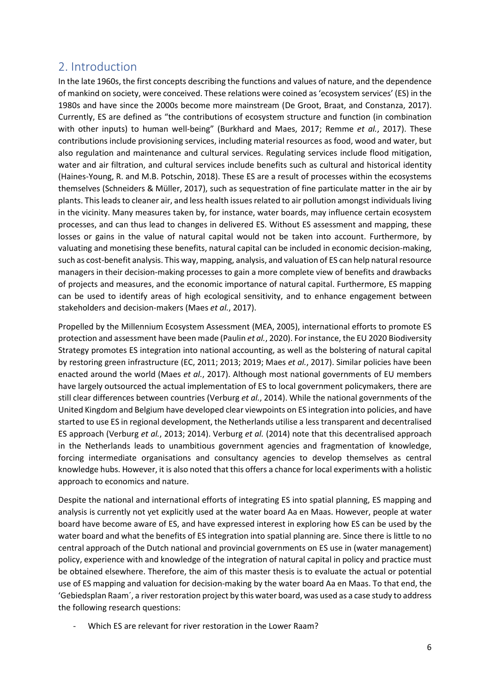### <span id="page-5-0"></span>2. Introduction

In the late 1960s, the first concepts describing the functions and values of nature, and the dependence of mankind on society, were conceived. These relations were coined as 'ecosystem services' (ES) in the 1980s and have since the 2000s become more mainstream (De Groot, Braat, and Constanza, 2017). Currently, ES are defined as "the contributions of ecosystem structure and function (in combination with other inputs) to human well-being" (Burkhard and Maes, 2017; Remme *et al.*, 2017). These contributions include provisioning services, including material resources as food, wood and water, but also regulation and maintenance and cultural services. Regulating services include flood mitigation, water and air filtration, and cultural services include benefits such as cultural and historical identity (Haines-Young, R. and M.B. Potschin, 2018). These ES are a result of processes within the ecosystems themselves (Schneiders & Müller, 2017), such as sequestration of fine particulate matter in the air by plants. This leads to cleaner air, and less health issues related to air pollution amongst individuals living in the vicinity. Many measures taken by, for instance, water boards, may influence certain ecosystem processes, and can thus lead to changes in delivered ES. Without ES assessment and mapping, these losses or gains in the value of natural capital would not be taken into account. Furthermore, by valuating and monetising these benefits, natural capital can be included in economic decision-making, such as cost-benefit analysis. This way, mapping, analysis, and valuation of ES can help natural resource managers in their decision-making processes to gain a more complete view of benefits and drawbacks of projects and measures, and the economic importance of natural capital. Furthermore, ES mapping can be used to identify areas of high ecological sensitivity, and to enhance engagement between stakeholders and decision-makers (Maes *et al.*, 2017).

Propelled by the Millennium Ecosystem Assessment (MEA, 2005), international efforts to promote ES protection and assessment have been made (Paulin *et al.*, 2020). For instance, the EU 2020 Biodiversity Strategy promotes ES integration into national accounting, as well as the bolstering of natural capital by restoring green infrastructure (EC, 2011; 2013; 2019; Maes *et al.*, 2017). Similar policies have been enacted around the world (Maes *et al.*, 2017). Although most national governments of EU members have largely outsourced the actual implementation of ES to local government policymakers, there are still clear differences between countries (Verburg *et al.*, 2014). While the national governments of the United Kingdom and Belgium have developed clear viewpoints on ES integration into policies, and have started to use ES in regional development, the Netherlands utilise a less transparent and decentralised ES approach (Verburg *et al.*, 2013; 2014). Verburg *et al.* (2014) note that this decentralised approach in the Netherlands leads to unambitious government agencies and fragmentation of knowledge, forcing intermediate organisations and consultancy agencies to develop themselves as central knowledge hubs. However, it is also noted that this offers a chance for local experiments with a holistic approach to economics and nature.

Despite the national and international efforts of integrating ES into spatial planning, ES mapping and analysis is currently not yet explicitly used at the water board Aa en Maas. However, people at water board have become aware of ES, and have expressed interest in exploring how ES can be used by the water board and what the benefits of ES integration into spatial planning are. Since there is little to no central approach of the Dutch national and provincial governments on ES use in (water management) policy, experience with and knowledge of the integration of natural capital in policy and practice must be obtained elsewhere. Therefore, the aim of this master thesis is to evaluate the actual or potential use of ES mapping and valuation for decision-making by the water board Aa en Maas. To that end, the 'Gebiedsplan Raam´, a river restoration project by this water board, was used as a case study to address the following research questions:

Which ES are relevant for river restoration in the Lower Raam?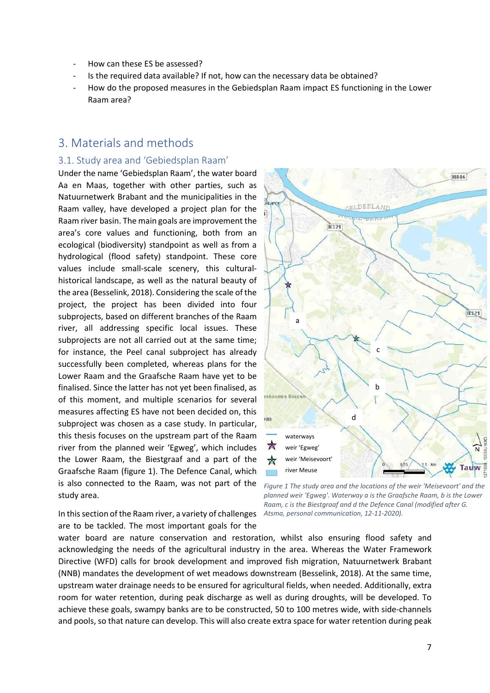- How can these ES be assessed?
- Is the required data available? If not, how can the necessary data be obtained?
- How do the proposed measures in the Gebiedsplan Raam impact ES functioning in the Lower Raam area?

### <span id="page-6-0"></span>3. Materials and methods

#### <span id="page-6-1"></span>3.1. Study area and 'Gebiedsplan Raam'

Under the name 'Gebiedsplan Raam', the water board Aa en Maas, together with other parties, such as Natuurnetwerk Brabant and the municipalities in the Raam valley, have developed a project plan for the Raam river basin. The main goals are improvement the area's core values and functioning, both from an ecological (biodiversity) standpoint as well as from a hydrological (flood safety) standpoint. These core values include small-scale scenery, this culturalhistorical landscape, as well as the natural beauty of the area (Besselink, 2018). Considering the scale of the project, the project has been divided into four subprojects, based on different branches of the Raam river, all addressing specific local issues. These subprojects are not all carried out at the same time; for instance, the Peel canal subproject has already successfully been completed, whereas plans for the Lower Raam and the Graafsche Raam have yet to be finalised. Since the latter has not yet been finalised, as of this moment, and multiple scenarios for several measures affecting ES have not been decided on, this subproject was chosen as a case study. In particular, this thesis focuses on the upstream part of the Raam river from the planned weir 'Egweg', which includes the Lower Raam, the Biestgraaf and a part of the Graafsche Raam (figure 1). The Defence Canal, which is also connected to the Raam, was not part of the study area.



In this section of the Raam river, a variety of challenges *Atsma, personal communication, 12-11-2020).* are to be tackled. The most important goals for the

*Figure 1 The study area and the locations of the weir 'Meisevoort' and the planned weir 'Egweg'. Waterway a is the Graafsche Raam, b is the Lower Raam, c is the Biestgraaf and d the Defence Canal (modified after G.* 

water board are nature conservation and restoration, whilst also ensuring flood safety and acknowledging the needs of the agricultural industry in the area. Whereas the Water Framework Directive (WFD) calls for brook development and improved fish migration, Natuurnetwerk Brabant (NNB) mandates the development of wet meadows downstream (Besselink, 2018). At the same time, upstream water drainage needs to be ensured for agricultural fields, when needed. Additionally, extra room for water retention, during peak discharge as well as during droughts, will be developed. To achieve these goals, swampy banks are to be constructed, 50 to 100 metres wide, with side-channels and pools, so that nature can develop. This will also create extra space for water retention during peak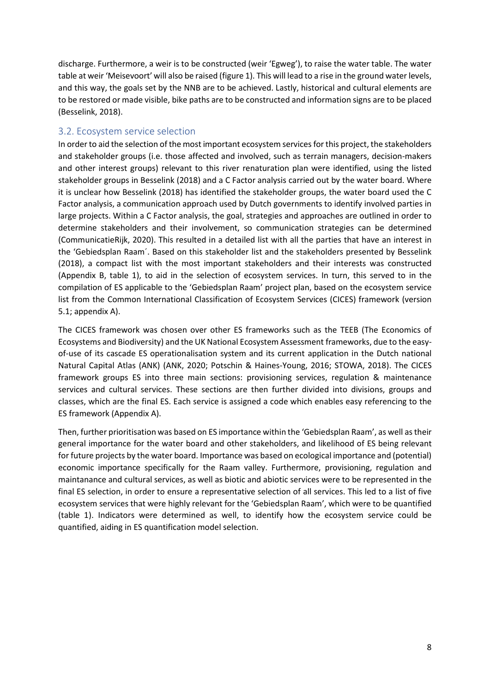discharge. Furthermore, a weir is to be constructed (weir 'Egweg'), to raise the water table. The water table at weir 'Meisevoort' will also be raised (figure 1). This will lead to a rise in the ground water levels, and this way, the goals set by the NNB are to be achieved. Lastly, historical and cultural elements are to be restored or made visible, bike paths are to be constructed and information signs are to be placed (Besselink, 2018).

### <span id="page-7-0"></span>3.2. Ecosystem service selection

In order to aid the selection of the most important ecosystem services for this project, the stakeholders and stakeholder groups (i.e. those affected and involved, such as terrain managers, decision-makers and other interest groups) relevant to this river renaturation plan were identified, using the listed stakeholder groups in Besselink (2018) and a C Factor analysis carried out by the water board. Where it is unclear how Besselink (2018) has identified the stakeholder groups, the water board used the C Factor analysis, a communication approach used by Dutch governments to identify involved parties in large projects. Within a C Factor analysis, the goal, strategies and approaches are outlined in order to determine stakeholders and their involvement, so communication strategies can be determined (CommunicatieRijk, 2020). This resulted in a detailed list with all the parties that have an interest in the 'Gebiedsplan Raam´. Based on this stakeholder list and the stakeholders presented by Besselink (2018), a compact list with the most important stakeholders and their interests was constructed (Appendix B, table 1), to aid in the selection of ecosystem services. In turn, this served to in the compilation of ES applicable to the 'Gebiedsplan Raam' project plan, based on the ecosystem service list from the Common International Classification of Ecosystem Services (CICES) framework (version 5.1; appendix A).

The CICES framework was chosen over other ES frameworks such as the TEEB (The Economics of Ecosystems and Biodiversity) and the UK National Ecosystem Assessment frameworks, due to the easyof-use of its cascade ES operationalisation system and its current application in the Dutch national Natural Capital Atlas (ANK) (ANK, 2020; Potschin & Haines-Young, 2016; STOWA, 2018). The CICES framework groups ES into three main sections: provisioning services, regulation & maintenance services and cultural services. These sections are then further divided into divisions, groups and classes, which are the final ES. Each service is assigned a code which enables easy referencing to the ES framework (Appendix A).

Then, further prioritisation was based on ES importance within the 'Gebiedsplan Raam', as well astheir general importance for the water board and other stakeholders, and likelihood of ES being relevant for future projects by the water board. Importance was based on ecological importance and (potential) economic importance specifically for the Raam valley. Furthermore, provisioning, regulation and maintanance and cultural services, as well as biotic and abiotic services were to be represented in the final ES selection, in order to ensure a representative selection of all services. This led to a list of five ecosystem services that were highly relevant for the 'Gebiedsplan Raam', which were to be quantified (table 1). Indicators were determined as well, to identify how the ecosystem service could be quantified, aiding in ES quantification model selection.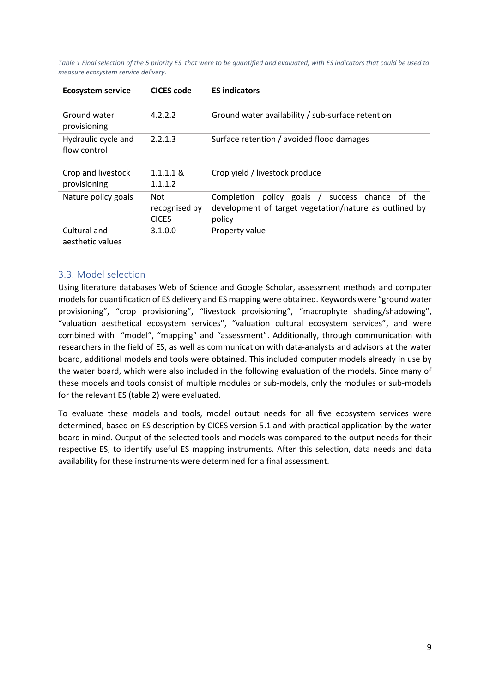*Table 1 Final selection of the 5 priority ES that were to be quantified and evaluated, with ES indicators that could be used to measure ecosystem service delivery.* 

| <b>Ecosystem service</b>            | <b>CICES</b> code                    | <b>ES indicators</b>                                                                                                      |
|-------------------------------------|--------------------------------------|---------------------------------------------------------------------------------------------------------------------------|
| Ground water<br>provisioning        | 4.2.2.2                              | Ground water availability / sub-surface retention                                                                         |
| Hydraulic cycle and<br>flow control | 2.2.1.3                              | Surface retention / avoided flood damages                                                                                 |
| Crop and livestock<br>provisioning  | $1.1.1.1 \&$<br>1.1.1.2              | Crop yield / livestock produce                                                                                            |
| Nature policy goals                 | Not<br>recognised by<br><b>CICES</b> | policy goals /<br>Completion<br>success chance of the<br>development of target vegetation/nature as outlined by<br>policy |
| Cultural and<br>aesthetic values    | 3.1.0.0                              | Property value                                                                                                            |

### <span id="page-8-0"></span>3.3. Model selection

Using literature databases Web of Science and Google Scholar, assessment methods and computer models for quantification of ES delivery and ES mapping were obtained. Keywords were "ground water provisioning", "crop provisioning", "livestock provisioning", "macrophyte shading/shadowing", "valuation aesthetical ecosystem services", "valuation cultural ecosystem services", and were combined with "model", "mapping" and "assessment". Additionally, through communication with researchers in the field of ES, as well as communication with data-analysts and advisors at the water board, additional models and tools were obtained. This included computer models already in use by the water board, which were also included in the following evaluation of the models. Since many of these models and tools consist of multiple modules or sub-models, only the modules or sub-models for the relevant ES (table 2) were evaluated.

To evaluate these models and tools, model output needs for all five ecosystem services were determined, based on ES description by CICES version 5.1 and with practical application by the water board in mind. Output of the selected tools and models was compared to the output needs for their respective ES, to identify useful ES mapping instruments. After this selection, data needs and data availability for these instruments were determined for a final assessment.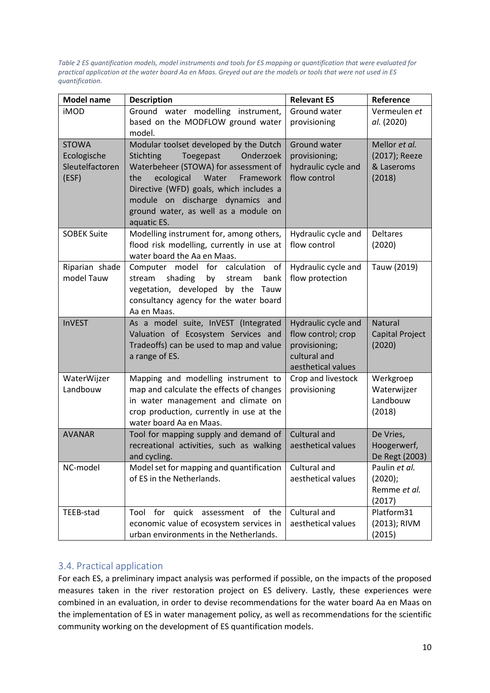*Table 2 ES quantification models, model instruments and tools for ES mapping or quantification that were evaluated for practical application at the water board Aa en Maas. Greyed out are the models or tools that were not used in ES quantification.*

| <b>Model name</b>            | <b>Description</b>                                                                | <b>Relevant ES</b>  | Reference               |
|------------------------------|-----------------------------------------------------------------------------------|---------------------|-------------------------|
| <b>iMOD</b>                  | Ground water modelling instrument,                                                | Ground water        | Vermeulen et            |
|                              | based on the MODFLOW ground water<br>model.                                       | provisioning        | al. (2020)              |
| <b>STOWA</b>                 | Modular toolset developed by the Dutch                                            | Ground water        | Mellor et al.           |
| Ecologische                  | Onderzoek<br>Stichting<br>Toegepast                                               | provisioning;       | (2017); Reeze           |
| Sleutelfactoren              | Waterbeheer (STOWA) for assessment of                                             | hydraulic cycle and | & Laseroms              |
| (ESF)                        | Water<br>the<br>ecological<br>Framework                                           | flow control        | (2018)                  |
|                              | Directive (WFD) goals, which includes a                                           |                     |                         |
|                              | module on discharge dynamics and                                                  |                     |                         |
|                              | ground water, as well as a module on                                              |                     |                         |
|                              | aquatic ES.                                                                       |                     |                         |
| <b>SOBEK Suite</b>           | Modelling instrument for, among others,                                           | Hydraulic cycle and | <b>Deltares</b>         |
|                              | flood risk modelling, currently in use at                                         | flow control        | (2020)                  |
|                              | water board the Aa en Maas.                                                       |                     |                         |
| Riparian shade<br>model Tauw | Computer model<br>for<br>calculation<br>of                                        | Hydraulic cycle and | Tauw (2019)             |
|                              | shading<br>stream<br>by<br>stream<br>bank<br>vegetation, developed by the Tauw    | flow protection     |                         |
|                              | consultancy agency for the water board                                            |                     |                         |
|                              | Aa en Maas.                                                                       |                     |                         |
| <b>InVEST</b>                | As a model suite, InVEST (Integrated                                              | Hydraulic cycle and | <b>Natural</b>          |
|                              | Valuation of Ecosystem Services and                                               | flow control; crop  | Capital Project         |
|                              | Tradeoffs) can be used to map and value                                           | provisioning;       | (2020)                  |
|                              | a range of ES.                                                                    | cultural and        |                         |
|                              |                                                                                   | aesthetical values  |                         |
| WaterWijzer                  | Mapping and modelling instrument to                                               | Crop and livestock  | Werkgroep               |
| Landbouw                     | map and calculate the effects of changes                                          | provisioning        | Waterwijzer<br>Landbouw |
|                              | in water management and climate on<br>crop production, currently in use at the    |                     | (2018)                  |
|                              | water board Aa en Maas.                                                           |                     |                         |
| <b>AVANAR</b>                | Tool for mapping supply and demand of                                             | Cultural and        | De Vries,               |
|                              | recreational activities, such as walking                                          | aesthetical values  | Hoogerwerf,             |
|                              | and cycling.                                                                      |                     | De Regt (2003)          |
| NC-model                     | Model set for mapping and quantification                                          | Cultural and        | Paulin et al.           |
|                              | of ES in the Netherlands.                                                         | aesthetical values  | (2020);                 |
|                              |                                                                                   |                     | Remme et al.            |
|                              |                                                                                   |                     | (2017)                  |
| TEEB-stad                    | for quick<br>of the<br>Tool<br>assessment                                         | Cultural and        | Platform31              |
|                              | economic value of ecosystem services in<br>urban environments in the Netherlands. | aesthetical values  | (2013); RIVM<br>(2015)  |
|                              |                                                                                   |                     |                         |

### <span id="page-9-0"></span>3.4. Practical application

For each ES, a preliminary impact analysis was performed if possible, on the impacts of the proposed measures taken in the river restoration project on ES delivery. Lastly, these experiences were combined in an evaluation, in order to devise recommendations for the water board Aa en Maas on the implementation of ES in water management policy, as well as recommendations for the scientific community working on the development of ES quantification models.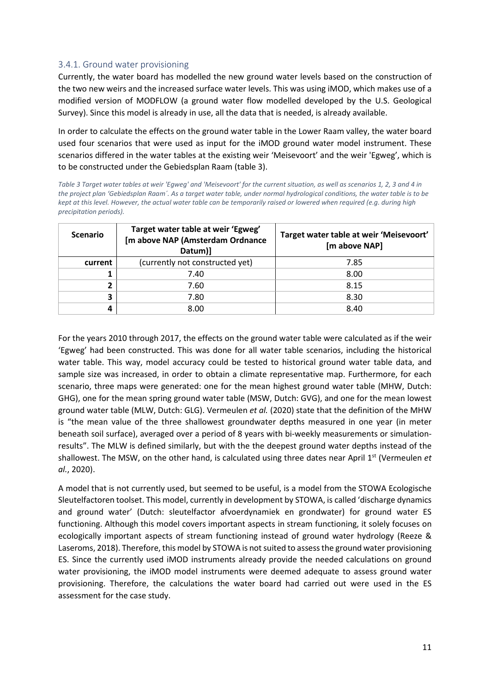#### <span id="page-10-0"></span>3.4.1. Ground water provisioning

Currently, the water board has modelled the new ground water levels based on the construction of the two new weirs and the increased surface water levels. This was using iMOD, which makes use of a modified version of MODFLOW (a ground water flow modelled developed by the U.S. Geological Survey). Since this model is already in use, all the data that is needed, is already available.

In order to calculate the effects on the ground water table in the Lower Raam valley, the water board used four scenarios that were used as input for the iMOD ground water model instrument. These scenarios differed in the water tables at the existing weir 'Meisevoort' and the weir 'Egweg', which is to be constructed under the Gebiedsplan Raam (table 3).

*Table 3 Target water tables at weir 'Egweg' and 'Meisevoort' for the current situation, as well as scenarios 1, 2, 3 and 4 in the project plan 'Gebiedsplan Raam´. As a target water table, under normal hydrological conditions, the water table is to be kept at this level. However, the actual water table can be temporarily raised or lowered when required (e.g. during high precipitation periods).*

| <b>Scenario</b> | Target water table at weir 'Egweg'<br>[m above NAP (Amsterdam Ordnance<br>Datum)] | Target water table at weir 'Meisevoort'<br>[m above NAP] |
|-----------------|-----------------------------------------------------------------------------------|----------------------------------------------------------|
| current         | (currently not constructed yet)                                                   | 7.85                                                     |
|                 | 7.40                                                                              | 8.00                                                     |
| ำ               | 7.60                                                                              | 8.15                                                     |
| 3               | 7.80                                                                              | 8.30                                                     |
| 4               | 8.00                                                                              | 8.40                                                     |

For the years 2010 through 2017, the effects on the ground water table were calculated as if the weir 'Egweg' had been constructed. This was done for all water table scenarios, including the historical water table. This way, model accuracy could be tested to historical ground water table data, and sample size was increased, in order to obtain a climate representative map. Furthermore, for each scenario, three maps were generated: one for the mean highest ground water table (MHW, Dutch: GHG), one for the mean spring ground water table (MSW, Dutch: GVG), and one for the mean lowest ground water table (MLW, Dutch: GLG). Vermeulen *et al.* (2020) state that the definition of the MHW is "the mean value of the three shallowest groundwater depths measured in one year (in meter beneath soil surface), averaged over a period of 8 years with bi-weekly measurements or simulationresults". The MLW is defined similarly, but with the the deepest ground water depths instead of the shallowest. The MSW, on the other hand, is calculated using three dates near April 1<sup>st</sup> (Vermeulen *et al.*, 2020).

A model that is not currently used, but seemed to be useful, is a model from the STOWA Ecologische Sleutelfactoren toolset. This model, currently in development by STOWA, is called 'discharge dynamics and ground water' (Dutch: sleutelfactor afvoerdynamiek en grondwater) for ground water ES functioning. Although this model covers important aspects in stream functioning, it solely focuses on ecologically important aspects of stream functioning instead of ground water hydrology (Reeze & Laseroms, 2018). Therefore, this model by STOWA is not suited to assessthe ground water provisioning ES. Since the currently used iMOD instruments already provide the needed calculations on ground water provisioning, the iMOD model instruments were deemed adequate to assess ground water provisioning. Therefore, the calculations the water board had carried out were used in the ES assessment for the case study.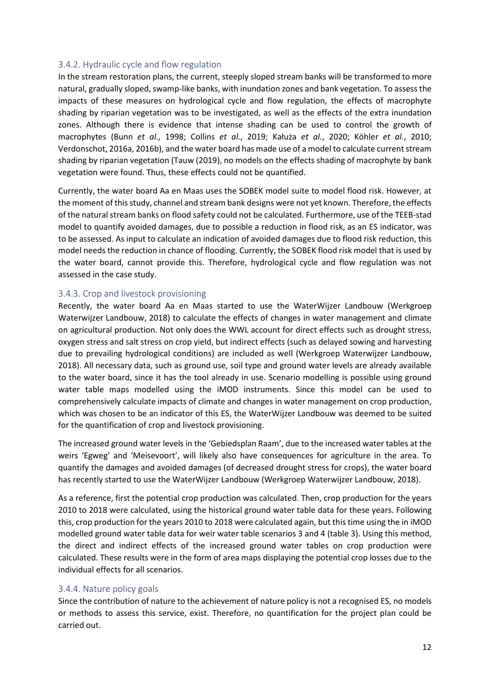#### <span id="page-11-0"></span>3.4.2. Hydraulic cycle and flow regulation

In the stream restoration plans, the current, steeply sloped stream banks will be transformed to more natural, gradually sloped, swamp-like banks, with inundation zones and bank vegetation. To assess the impacts of these measures on hydrological cycle and flow regulation, the effects of macrophyte shading by riparian vegetation was to be investigated, as well as the effects of the extra inundation zones. Although there is evidence that intense shading can be used to control the growth of macrophytes (Bunn *et al.*, 1998; Collins *et al.*, 2019; Kałuża *et al.*, 2020; Köhler *et al.*, 2010; Verdonschot, 2016a, 2016b), and the water board has made use of a model to calculate current stream shading by riparian vegetation (Tauw (2019), no models on the effects shading of macrophyte by bank vegetation were found. Thus, these effects could not be quantified.

Currently, the water board Aa en Maas uses the SOBEK model suite to model flood risk. However, at the moment of this study, channel and stream bank designs were not yet known. Therefore, the effects of the natural stream banks on flood safety could not be calculated. Furthermore, use of the TEEB-stad model to quantify avoided damages, due to possible a reduction in flood risk, as an ES indicator, was to be assessed. As input to calculate an indication of avoided damages due to flood risk reduction, this model needs the reduction in chance of flooding. Currently, the SOBEK flood risk model that is used by the water board, cannot provide this. Therefore, hydrological cycle and flow regulation was not assessed in the case study.

#### <span id="page-11-1"></span>3.4.3. Crop and livestock provisioning

Recently, the water board Aa en Maas started to use the WaterWijzer Landbouw (Werkgroep Waterwijzer Landbouw, 2018) to calculate the effects of changes in water management and climate on agricultural production. Not only does the WWL account for direct effects such as drought stress, oxygen stress and salt stress on crop yield, but indirect effects (such as delayed sowing and harvesting due to prevailing hydrological conditions) are included as well (Werkgroep Waterwijzer Landbouw, 2018). All necessary data, such as ground use, soil type and ground water levels are already available to the water board, since it has the tool already in use. Scenario modelling is possible using ground water table maps modelled using the iMOD instruments. Since this model can be used to comprehensively calculate impacts of climate and changes in water management on crop production, which was chosen to be an indicator of this ES, the WaterWijzer Landbouw was deemed to be suited for the quantification of crop and livestock provisioning.

The increased ground water levels in the 'Gebiedsplan Raam', due to the increased water tables at the weirs 'Egweg' and 'Meisevoort', will likely also have consequences for agriculture in the area. To quantify the damages and avoided damages (of decreased drought stress for crops), the water board has recently started to use the WaterWijzer Landbouw (Werkgroep Waterwijzer Landbouw, 2018).

As a reference, first the potential crop production was calculated. Then, crop production for the years 2010 to 2018 were calculated, using the historical ground water table data for these years. Following this, crop production for the years 2010 to 2018 were calculated again, but this time using the in iMOD modelled ground water table data for weir water table scenarios 3 and 4 (table 3). Using this method, the direct and indirect effects of the increased ground water tables on crop production were calculated. These results were in the form of area maps displaying the potential crop losses due to the individual effects for all scenarios.

#### <span id="page-11-2"></span>3.4.4. Nature policy goals

Since the contribution of nature to the achievement of nature policy is not a recognised ES, no models or methods to assess this service, exist. Therefore, no quantification for the project plan could be carried out.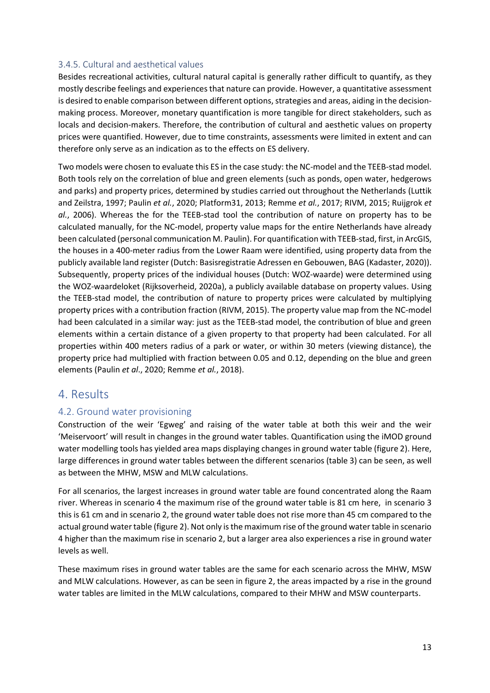#### <span id="page-12-0"></span>3.4.5. Cultural and aesthetical values

Besides recreational activities, cultural natural capital is generally rather difficult to quantify, as they mostly describe feelings and experiences that nature can provide. However, a quantitative assessment is desired to enable comparison between different options, strategies and areas, aiding in the decisionmaking process. Moreover, monetary quantification is more tangible for direct stakeholders, such as locals and decision-makers. Therefore, the contribution of cultural and aesthetic values on property prices were quantified. However, due to time constraints, assessments were limited in extent and can therefore only serve as an indication as to the effects on ES delivery.

Two models were chosen to evaluate this ES in the case study: the NC-model and the TEEB-stad model. Both tools rely on the correlation of blue and green elements (such as ponds, open water, hedgerows and parks) and property prices, determined by studies carried out throughout the Netherlands (Luttik and Zeilstra, 1997; Paulin *et al.*, 2020; Platform31, 2013; Remme *et al.*, 2017; RIVM, 2015; Ruijgrok *et al.*, 2006). Whereas the for the TEEB-stad tool the contribution of nature on property has to be calculated manually, for the NC-model, property value maps for the entire Netherlands have already been calculated (personal communication M. Paulin). For quantification with TEEB-stad, first, in ArcGIS, the houses in a 400-meter radius from the Lower Raam were identified, using property data from the publicly available land register (Dutch: Basisregistratie Adressen en Gebouwen, BAG (Kadaster, 2020)). Subsequently, property prices of the individual houses (Dutch: WOZ-waarde) were determined using the WOZ-waardeloket (Rijksoverheid, 2020a), a publicly available database on property values. Using the TEEB-stad model, the contribution of nature to property prices were calculated by multiplying property prices with a contribution fraction (RIVM, 2015). The property value map from the NC-model had been calculated in a similar way: just as the TEEB-stad model, the contribution of blue and green elements within a certain distance of a given property to that property had been calculated. For all properties within 400 meters radius of a park or water, or within 30 meters (viewing distance), the property price had multiplied with fraction between 0.05 and 0.12, depending on the blue and green elements (Paulin *et al*., 2020; Remme *et al.*, 2018).

### <span id="page-12-1"></span>4. Results

### <span id="page-12-2"></span>4.2. Ground water provisioning

Construction of the weir 'Egweg' and raising of the water table at both this weir and the weir 'Meiservoort' will result in changes in the ground water tables. Quantification using the iMOD ground water modelling tools has yielded area maps displaying changes in ground water table (figure 2). Here, large differences in ground water tables between the different scenarios (table 3) can be seen, as well as between the MHW, MSW and MLW calculations.

For all scenarios, the largest increases in ground water table are found concentrated along the Raam river. Whereas in scenario 4 the maximum rise of the ground water table is 81 cm here, in scenario 3 this is 61 cm and in scenario 2, the ground water table does not rise more than 45 cm compared to the actual ground water table (figure 2). Not only is the maximum rise of the ground water table in scenario 4 higher than the maximum rise in scenario 2, but a larger area also experiences a rise in ground water levels as well.

These maximum rises in ground water tables are the same for each scenario across the MHW, MSW and MLW calculations. However, as can be seen in figure 2, the areas impacted by a rise in the ground water tables are limited in the MLW calculations, compared to their MHW and MSW counterparts.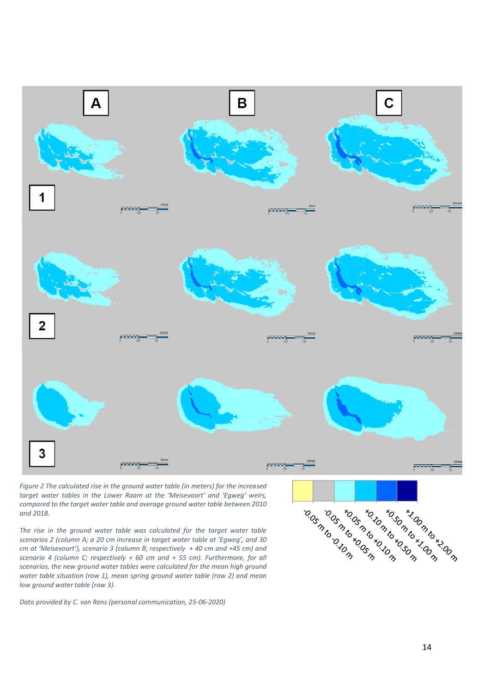

*Figure 2 The calculated rise in the ground water table (in meters) for the increased target water tables in the Lower Raam at the 'Meisevoort' and 'Egweg' weirs, compared to the target water table and average ground water table between 2010 and 2018.* 

*The rise in the ground water table was calculated for the target water table scenarios 2 (column A; a 20 cm increase in target water table at 'Egweg', and 30 cm at 'Meisevoort'), scenario 3 (column B; respectively + 40 cm and +45 cm) and scenario 4 (column C; respectively + 60 cm and + 55 cm). Furthermore, for all scenarios, the new ground water tables were calculated for the mean high ground water table situation (row 1), mean spring ground water table (row 2) and mean low ground water table (row 3).*

*Data provided by C. van Rens (personal communication, 25-06-2020)*

Antonon Branch rxos de de la de la de la de la de la de la de la de la de la de la de la de la de la de la de la de la de la All Control Marcon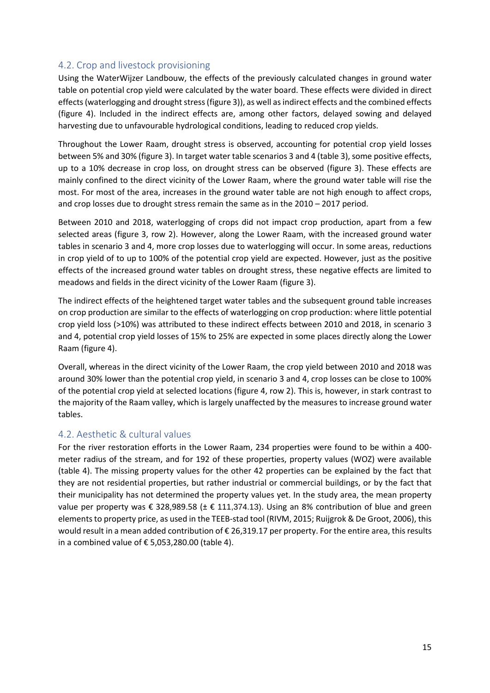### <span id="page-14-0"></span>4.2. Crop and livestock provisioning

Using the WaterWijzer Landbouw, the effects of the previously calculated changes in ground water table on potential crop yield were calculated by the water board. These effects were divided in direct effects (waterlogging and drought stress (figure 3)), as well as indirect effects and the combined effects (figure 4). Included in the indirect effects are, among other factors, delayed sowing and delayed harvesting due to unfavourable hydrological conditions, leading to reduced crop yields.

Throughout the Lower Raam, drought stress is observed, accounting for potential crop yield losses between 5% and 30% (figure 3). In target water table scenarios 3 and 4 (table 3), some positive effects, up to a 10% decrease in crop loss, on drought stress can be observed (figure 3). These effects are mainly confined to the direct vicinity of the Lower Raam, where the ground water table will rise the most. For most of the area, increases in the ground water table are not high enough to affect crops, and crop losses due to drought stress remain the same as in the 2010 – 2017 period.

Between 2010 and 2018, waterlogging of crops did not impact crop production, apart from a few selected areas (figure 3, row 2). However, along the Lower Raam, with the increased ground water tables in scenario 3 and 4, more crop losses due to waterlogging will occur. In some areas, reductions in crop yield of to up to 100% of the potential crop yield are expected. However, just as the positive effects of the increased ground water tables on drought stress, these negative effects are limited to meadows and fields in the direct vicinity of the Lower Raam (figure 3).

The indirect effects of the heightened target water tables and the subsequent ground table increases on crop production are similar to the effects of waterlogging on crop production: where little potential crop yield loss (>10%) was attributed to these indirect effects between 2010 and 2018, in scenario 3 and 4, potential crop yield losses of 15% to 25% are expected in some places directly along the Lower Raam (figure 4).

Overall, whereas in the direct vicinity of the Lower Raam, the crop yield between 2010 and 2018 was around 30% lower than the potential crop yield, in scenario 3 and 4, crop losses can be close to 100% of the potential crop yield at selected locations (figure 4, row 2). This is, however, in stark contrast to the majority of the Raam valley, which is largely unaffected by the measures to increase ground water tables.

### <span id="page-14-1"></span>4.2. Aesthetic & cultural values

For the river restoration efforts in the Lower Raam, 234 properties were found to be within a 400 meter radius of the stream, and for 192 of these properties, property values (WOZ) were available (table 4). The missing property values for the other 42 properties can be explained by the fact that they are not residential properties, but rather industrial or commercial buildings, or by the fact that their municipality has not determined the property values yet. In the study area, the mean property value per property was € 328,989.58 ( $\pm$  € 111,374.13). Using an 8% contribution of blue and green elements to property price, as used in the TEEB-stad tool (RIVM, 2015; Ruijgrok & De Groot, 2006), this would result in a mean added contribution of € 26,319.17 per property. For the entire area, this results in a combined value of € 5,053,280.00 (table 4).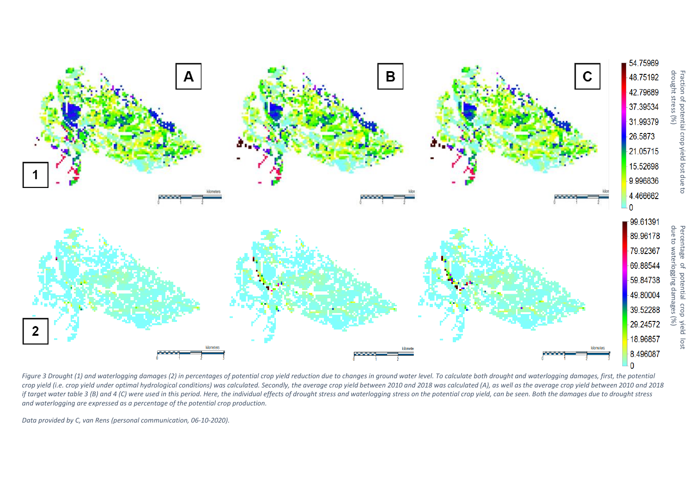

Figure 3 Drought (1) and waterlogging damages (2) in percentages of potential crop yield reduction due to changes in ground water level. To calculate both drought and waterlogging damages, first, the potential *crop yield (i.e. crop yield under optimal hydrological conditions) was calculated. Secondly, the average crop yield between 2010 and 2018 was calculated (A), as well as the average crop yield between 2010 and 2018* if target water table 3 (B) and 4 (C) were used in this period. Here, the individual effects of drought stress and waterlogging stress on the potential crop yield, can be seen. Both the damages due to drought stress *and waterlogging are expressed as a percentage of the potential crop production.*

*Data provided by C, van Rens (personal communication, 06-10-2020).*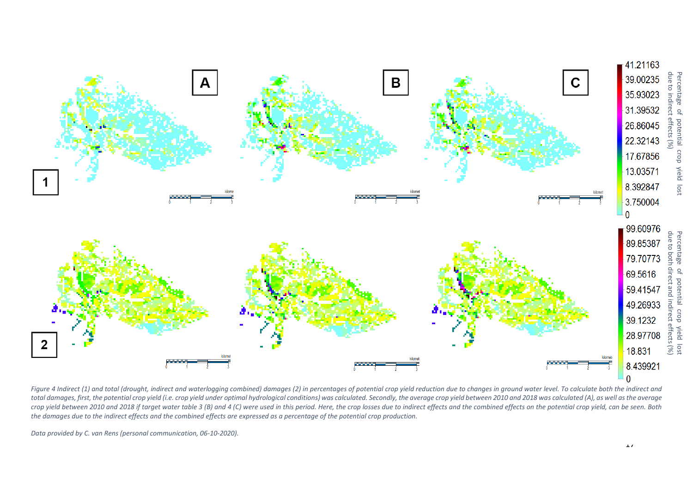

Figure 4 Indirect (1) and total (drought, indirect and waterlogging combined) damages (2) in percentages of potential crop yield reduction due to changes in ground water level. To calculate both the indirect and total damages, first, the potential crop yield (i.e. crop yield under optimal hydrological conditions) was calculated. Secondly, the average crop yield between 2010 and 2018 was calculated (A), as well as the average crop yield between 2010 and 2018 if target water table 3 (B) and 4 (C) were used in this period. Here, the crop losses due to indirect effects and the combined effects on the potential crop yield, can be seen. Both *the damages due to the indirect effects and the combined effects are expressed as a percentage of the potential crop production.*

*Data provided by C. van Rens (personal communication, 06-10-2020).*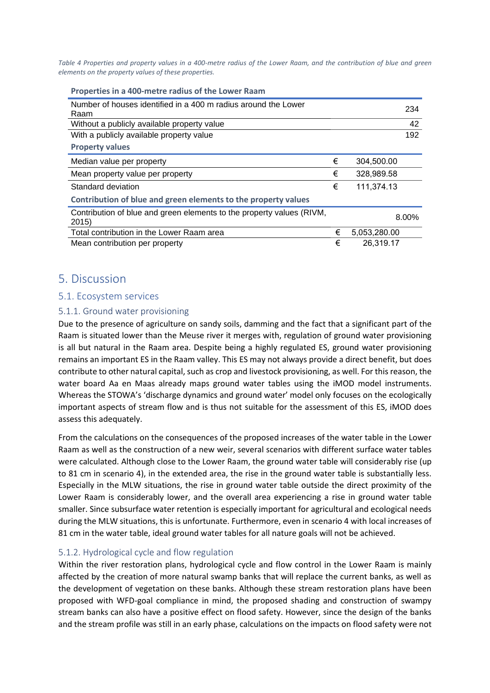*Table 4 Properties and property values in a 400-metre radius of the Lower Raam, and the contribution of blue and green elements on the property values of these properties.*

| Properties in a 400-metre radius of the Lower Raam                            |   |              |       |
|-------------------------------------------------------------------------------|---|--------------|-------|
| Number of houses identified in a 400 m radius around the Lower<br>Raam        |   |              | 234   |
| Without a publicly available property value                                   |   |              | 42    |
| With a publicly available property value                                      |   |              | 192   |
| <b>Property values</b>                                                        |   |              |       |
| Median value per property                                                     | € | 304,500.00   |       |
| Mean property value per property                                              | € | 328,989.58   |       |
| Standard deviation                                                            | € | 111,374.13   |       |
| Contribution of blue and green elements to the property values                |   |              |       |
| Contribution of blue and green elements to the property values (RIVM,<br>2015 |   |              | 8.00% |
| Total contribution in the Lower Raam area                                     | € | 5,053,280.00 |       |
| Mean contribution per property                                                | € | 26,319.17    |       |

### <span id="page-17-0"></span>5. Discussion

### <span id="page-17-1"></span>5.1. Ecosystem services

#### <span id="page-17-2"></span>5.1.1. Ground water provisioning

Due to the presence of agriculture on sandy soils, damming and the fact that a significant part of the Raam is situated lower than the Meuse river it merges with, regulation of ground water provisioning is all but natural in the Raam area. Despite being a highly regulated ES, ground water provisioning remains an important ES in the Raam valley. This ES may not always provide a direct benefit, but does contribute to other natural capital, such as crop and livestock provisioning, as well. For this reason, the water board Aa en Maas already maps ground water tables using the iMOD model instruments. Whereas the STOWA's 'discharge dynamics and ground water' model only focuses on the ecologically important aspects of stream flow and is thus not suitable for the assessment of this ES, iMOD does assess this adequately.

From the calculations on the consequences of the proposed increases of the water table in the Lower Raam as well as the construction of a new weir, several scenarios with different surface water tables were calculated. Although close to the Lower Raam, the ground water table will considerably rise (up to 81 cm in scenario 4), in the extended area, the rise in the ground water table is substantially less. Especially in the MLW situations, the rise in ground water table outside the direct proximity of the Lower Raam is considerably lower, and the overall area experiencing a rise in ground water table smaller. Since subsurface water retention is especially important for agricultural and ecological needs during the MLW situations, this is unfortunate. Furthermore, even in scenario 4 with local increases of 81 cm in the water table, ideal ground water tables for all nature goals will not be achieved.

#### <span id="page-17-3"></span>5.1.2. Hydrological cycle and flow regulation

Within the river restoration plans, hydrological cycle and flow control in the Lower Raam is mainly affected by the creation of more natural swamp banks that will replace the current banks, as well as the development of vegetation on these banks. Although these stream restoration plans have been proposed with WFD-goal compliance in mind, the proposed shading and construction of swampy stream banks can also have a positive effect on flood safety. However, since the design of the banks and the stream profile was still in an early phase, calculations on the impacts on flood safety were not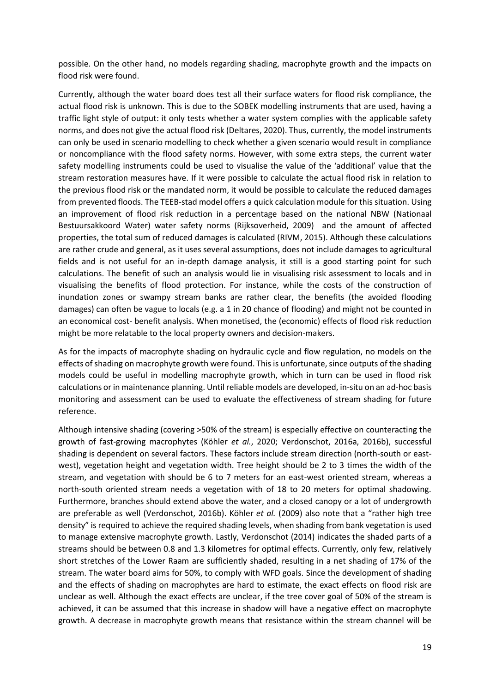possible. On the other hand, no models regarding shading, macrophyte growth and the impacts on flood risk were found.

Currently, although the water board does test all their surface waters for flood risk compliance, the actual flood risk is unknown. This is due to the SOBEK modelling instruments that are used, having a traffic light style of output: it only tests whether a water system complies with the applicable safety norms, and does not give the actual flood risk (Deltares, 2020). Thus, currently, the model instruments can only be used in scenario modelling to check whether a given scenario would result in compliance or noncompliance with the flood safety norms. However, with some extra steps, the current water safety modelling instruments could be used to visualise the value of the 'additional' value that the stream restoration measures have. If it were possible to calculate the actual flood risk in relation to the previous flood risk or the mandated norm, it would be possible to calculate the reduced damages from prevented floods. The TEEB-stad model offers a quick calculation module for this situation. Using an improvement of flood risk reduction in a percentage based on the national NBW (Nationaal Bestuursakkoord Water) water safety norms (Rijksoverheid, 2009) and the amount of affected properties, the total sum of reduced damages is calculated (RIVM, 2015). Although these calculations are rather crude and general, as it uses several assumptions, does not include damages to agricultural fields and is not useful for an in-depth damage analysis, it still is a good starting point for such calculations. The benefit of such an analysis would lie in visualising risk assessment to locals and in visualising the benefits of flood protection. For instance, while the costs of the construction of inundation zones or swampy stream banks are rather clear, the benefits (the avoided flooding damages) can often be vague to locals (e.g. a 1 in 20 chance of flooding) and might not be counted in an economical cost- benefit analysis. When monetised, the (economic) effects of flood risk reduction might be more relatable to the local property owners and decision-makers.

As for the impacts of macrophyte shading on hydraulic cycle and flow regulation, no models on the effects of shading on macrophyte growth were found. This is unfortunate, since outputs of the shading models could be useful in modelling macrophyte growth, which in turn can be used in flood risk calculations or in maintenance planning. Until reliable models are developed, in-situ on an ad-hoc basis monitoring and assessment can be used to evaluate the effectiveness of stream shading for future reference.

Although intensive shading (covering >50% of the stream) is especially effective on counteracting the growth of fast-growing macrophytes (Köhler *et al.*, 2020; Verdonschot, 2016a, 2016b), successful shading is dependent on several factors. These factors include stream direction (north-south or eastwest), vegetation height and vegetation width. Tree height should be 2 to 3 times the width of the stream, and vegetation with should be 6 to 7 meters for an east-west oriented stream, whereas a north-south oriented stream needs a vegetation with of 18 to 20 meters for optimal shadowing. Furthermore, branches should extend above the water, and a closed canopy or a lot of undergrowth are preferable as well (Verdonschot, 2016b). Köhler *et al.* (2009) also note that a "rather high tree density" is required to achieve the required shading levels, when shading from bank vegetation is used to manage extensive macrophyte growth. Lastly, Verdonschot (2014) indicates the shaded parts of a streams should be between 0.8 and 1.3 kilometres for optimal effects. Currently, only few, relatively short stretches of the Lower Raam are sufficiently shaded, resulting in a net shading of 17% of the stream. The water board aims for 50%, to comply with WFD goals. Since the development of shading and the effects of shading on macrophytes are hard to estimate, the exact effects on flood risk are unclear as well. Although the exact effects are unclear, if the tree cover goal of 50% of the stream is achieved, it can be assumed that this increase in shadow will have a negative effect on macrophyte growth. A decrease in macrophyte growth means that resistance within the stream channel will be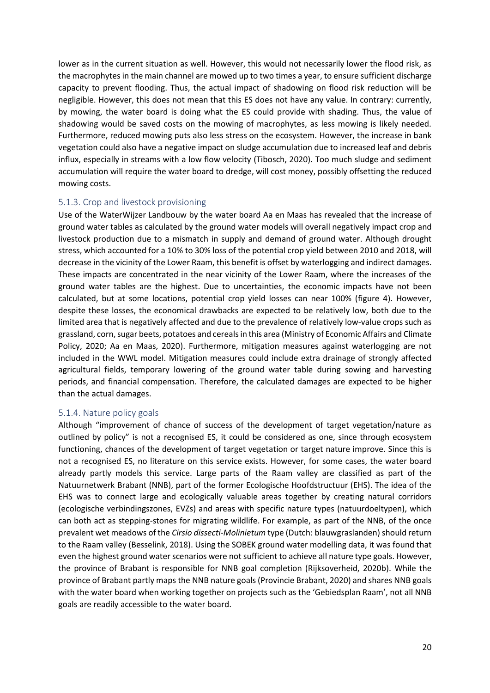lower as in the current situation as well. However, this would not necessarily lower the flood risk, as the macrophytes in the main channel are mowed up to two times a year, to ensure sufficient discharge capacity to prevent flooding. Thus, the actual impact of shadowing on flood risk reduction will be negligible. However, this does not mean that this ES does not have any value. In contrary: currently, by mowing, the water board is doing what the ES could provide with shading. Thus, the value of shadowing would be saved costs on the mowing of macrophytes, as less mowing is likely needed. Furthermore, reduced mowing puts also less stress on the ecosystem. However, the increase in bank vegetation could also have a negative impact on sludge accumulation due to increased leaf and debris influx, especially in streams with a low flow velocity (Tibosch, 2020). Too much sludge and sediment accumulation will require the water board to dredge, will cost money, possibly offsetting the reduced mowing costs.

#### <span id="page-19-0"></span>5.1.3. Crop and livestock provisioning

Use of the WaterWijzer Landbouw by the water board Aa en Maas has revealed that the increase of ground water tables as calculated by the ground water models will overall negatively impact crop and livestock production due to a mismatch in supply and demand of ground water. Although drought stress, which accounted for a 10% to 30% loss of the potential crop yield between 2010 and 2018, will decrease in the vicinity of the Lower Raam, this benefit is offset by waterlogging and indirect damages. These impacts are concentrated in the near vicinity of the Lower Raam, where the increases of the ground water tables are the highest. Due to uncertainties, the economic impacts have not been calculated, but at some locations, potential crop yield losses can near 100% (figure 4). However, despite these losses, the economical drawbacks are expected to be relatively low, both due to the limited area that is negatively affected and due to the prevalence of relatively low-value crops such as grassland, corn, sugar beets, potatoes and cereals in this area (Ministry of Economic Affairs and Climate Policy, 2020; Aa en Maas, 2020). Furthermore, mitigation measures against waterlogging are not included in the WWL model. Mitigation measures could include extra drainage of strongly affected agricultural fields, temporary lowering of the ground water table during sowing and harvesting periods, and financial compensation. Therefore, the calculated damages are expected to be higher than the actual damages.

#### <span id="page-19-1"></span>5.1.4. Nature policy goals

Although "improvement of chance of success of the development of target vegetation/nature as outlined by policy" is not a recognised ES, it could be considered as one, since through ecosystem functioning, chances of the development of target vegetation or target nature improve. Since this is not a recognised ES, no literature on this service exists. However, for some cases, the water board already partly models this service. Large parts of the Raam valley are classified as part of the Natuurnetwerk Brabant (NNB), part of the former Ecologische Hoofdstructuur (EHS). The idea of the EHS was to connect large and ecologically valuable areas together by creating natural corridors (ecologische verbindingszones, EVZs) and areas with specific nature types (natuurdoeltypen), which can both act as stepping-stones for migrating wildlife. For example, as part of the NNB, of the once prevalent wet meadows of the *Cirsio dissecti-Molinietum* type (Dutch: blauwgraslanden) should return to the Raam valley (Besselink, 2018). Using the SOBEK ground water modelling data, it was found that even the highest ground water scenarios were not sufficient to achieve all nature type goals. However, the province of Brabant is responsible for NNB goal completion (Rijksoverheid, 2020b). While the province of Brabant partly maps the NNB nature goals (Provincie Brabant, 2020) and shares NNB goals with the water board when working together on projects such as the 'Gebiedsplan Raam', not all NNB goals are readily accessible to the water board.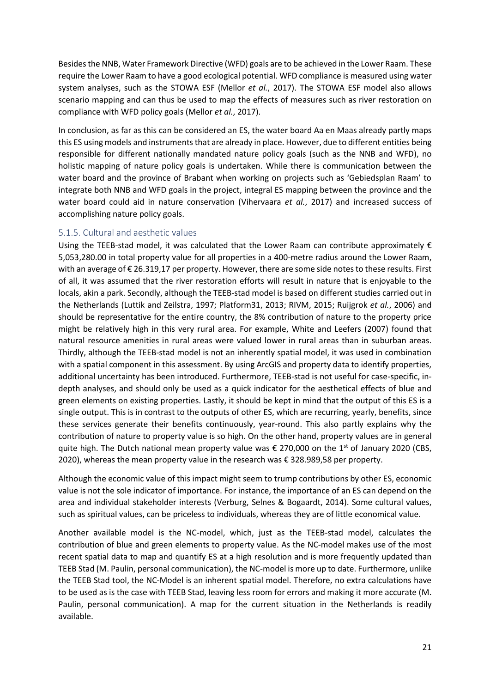Besides the NNB, Water Framework Directive (WFD) goals are to be achieved in the Lower Raam. These require the Lower Raam to have a good ecological potential. WFD compliance is measured using water system analyses, such as the STOWA ESF (Mellor *et al.*, 2017). The STOWA ESF model also allows scenario mapping and can thus be used to map the effects of measures such as river restoration on compliance with WFD policy goals (Mellor *et al.*, 2017).

In conclusion, as far as this can be considered an ES, the water board Aa en Maas already partly maps this ES using models and instruments that are already in place. However, due to different entities being responsible for different nationally mandated nature policy goals (such as the NNB and WFD), no holistic mapping of nature policy goals is undertaken. While there is communication between the water board and the province of Brabant when working on projects such as 'Gebiedsplan Raam' to integrate both NNB and WFD goals in the project, integral ES mapping between the province and the water board could aid in nature conservation (Vihervaara *et al.*, 2017) and increased success of accomplishing nature policy goals.

### <span id="page-20-0"></span>5.1.5. Cultural and aesthetic values

Using the TEEB-stad model, it was calculated that the Lower Raam can contribute approximately  $\epsilon$ 5,053,280.00 in total property value for all properties in a 400-metre radius around the Lower Raam, with an average of € 26.319,17 per property. However, there are some side notes to these results. First of all, it was assumed that the river restoration efforts will result in nature that is enjoyable to the locals, akin a park. Secondly, although the TEEB-stad model is based on different studies carried out in the Netherlands (Luttik and Zeilstra, 1997; Platform31, 2013; RIVM, 2015; Ruijgrok *et al.*, 2006) and should be representative for the entire country, the 8% contribution of nature to the property price might be relatively high in this very rural area. For example, White and Leefers (2007) found that natural resource amenities in rural areas were valued lower in rural areas than in suburban areas. Thirdly, although the TEEB-stad model is not an inherently spatial model, it was used in combination with a spatial component in this assessment. By using ArcGIS and property data to identify properties, additional uncertainty has been introduced. Furthermore, TEEB-stad is not useful for case-specific, indepth analyses, and should only be used as a quick indicator for the aesthetical effects of blue and green elements on existing properties. Lastly, it should be kept in mind that the output of this ES is a single output. This is in contrast to the outputs of other ES, which are recurring, yearly, benefits, since these services generate their benefits continuously, year-round. This also partly explains why the contribution of nature to property value is so high. On the other hand, property values are in general quite high. The Dutch national mean property value was  $\epsilon$  270,000 on the 1<sup>st</sup> of January 2020 (CBS, 2020), whereas the mean property value in the research was € 328.989,58 per property.

Although the economic value of this impact might seem to trump contributions by other ES, economic value is not the sole indicator of importance. For instance, the importance of an ES can depend on the area and individual stakeholder interests (Verburg, Selnes & Bogaardt, 2014). Some cultural values, such as spiritual values, can be priceless to individuals, whereas they are of little economical value.

Another available model is the NC-model, which, just as the TEEB-stad model, calculates the contribution of blue and green elements to property value. As the NC-model makes use of the most recent spatial data to map and quantify ES at a high resolution and is more frequently updated than TEEB Stad (M. Paulin, personal communication), the NC-model is more up to date. Furthermore, unlike the TEEB Stad tool, the NC-Model is an inherent spatial model. Therefore, no extra calculations have to be used as is the case with TEEB Stad, leaving less room for errors and making it more accurate (M. Paulin, personal communication). A map for the current situation in the Netherlands is readily available.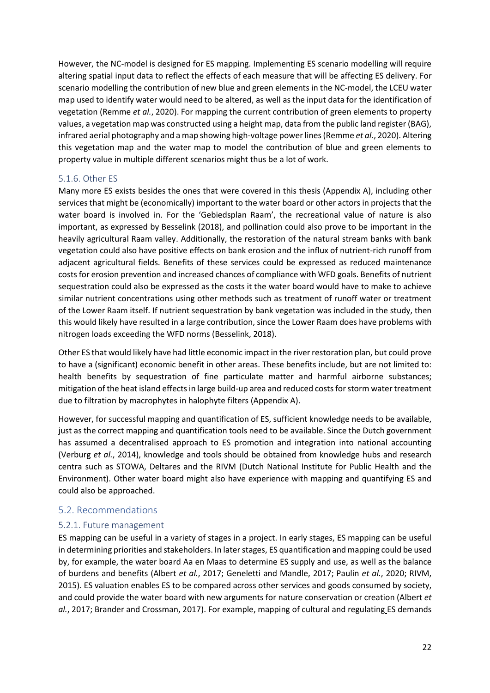However, the NC-model is designed for ES mapping. Implementing ES scenario modelling will require altering spatial input data to reflect the effects of each measure that will be affecting ES delivery. For scenario modelling the contribution of new blue and green elements in the NC-model, the LCEU water map used to identify water would need to be altered, as well as the input data for the identification of vegetation (Remme *et al.*, 2020). For mapping the current contribution of green elements to property values, a vegetation map was constructed using a height map, data from the public land register (BAG), infrared aerial photography and a map showing high-voltage power lines (Remme *et al.*, 2020). Altering this vegetation map and the water map to model the contribution of blue and green elements to property value in multiple different scenarios might thus be a lot of work.

### <span id="page-21-0"></span>5.1.6. Other ES

Many more ES exists besides the ones that were covered in this thesis (Appendix A), including other services that might be (economically) important to the water board or other actors in projects that the water board is involved in. For the 'Gebiedsplan Raam', the recreational value of nature is also important, as expressed by Besselink (2018), and pollination could also prove to be important in the heavily agricultural Raam valley. Additionally, the restoration of the natural stream banks with bank vegetation could also have positive effects on bank erosion and the influx of nutrient-rich runoff from adjacent agricultural fields. Benefits of these services could be expressed as reduced maintenance costs for erosion prevention and increased chances of compliance with WFD goals. Benefits of nutrient sequestration could also be expressed as the costs it the water board would have to make to achieve similar nutrient concentrations using other methods such as treatment of runoff water or treatment of the Lower Raam itself. If nutrient sequestration by bank vegetation was included in the study, then this would likely have resulted in a large contribution, since the Lower Raam does have problems with nitrogen loads exceeding the WFD norms (Besselink, 2018).

Other ES that would likely have had little economic impact in the river restoration plan, but could prove to have a (significant) economic benefit in other areas. These benefits include, but are not limited to: health benefits by sequestration of fine particulate matter and harmful airborne substances; mitigation of the heat island effects in large build-up area and reduced costs for storm water treatment due to filtration by macrophytes in halophyte filters (Appendix A).

However, for successful mapping and quantification of ES, sufficient knowledge needs to be available, just as the correct mapping and quantification tools need to be available. Since the Dutch government has assumed a decentralised approach to ES promotion and integration into national accounting (Verburg *et al.*, 2014), knowledge and tools should be obtained from knowledge hubs and research centra such as STOWA, Deltares and the RIVM (Dutch National Institute for Public Health and the Environment). Other water board might also have experience with mapping and quantifying ES and could also be approached.

### <span id="page-21-1"></span>5.2. Recommendations

### <span id="page-21-2"></span>5.2.1. Future management

ES mapping can be useful in a variety of stages in a project. In early stages, ES mapping can be useful in determining priorities and stakeholders. In later stages, ES quantification and mapping could be used by, for example, the water board Aa en Maas to determine ES supply and use, as well as the balance of burdens and benefits (Albert *et al.*, 2017; Geneletti and Mandle, 2017; Paulin *et al.*, 2020; RIVM, 2015). ES valuation enables ES to be compared across other services and goods consumed by society, and could provide the water board with new arguments for nature conservation or creation (Albert *et al.*, 2017; Brander and Crossman, 2017). For example, mapping of cultural and regulating ES demands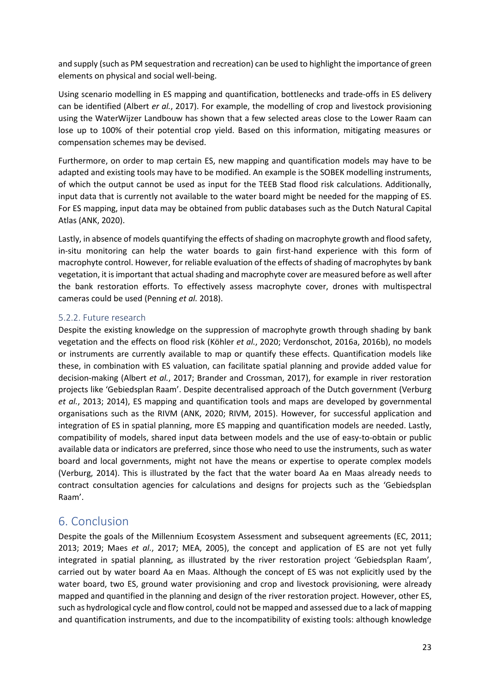and supply (such as PM sequestration and recreation) can be used to highlight the importance of green elements on physical and social well-being.

Using scenario modelling in ES mapping and quantification, bottlenecks and trade-offs in ES delivery can be identified (Albert *er al.*, 2017). For example, the modelling of crop and livestock provisioning using the WaterWijzer Landbouw has shown that a few selected areas close to the Lower Raam can lose up to 100% of their potential crop yield. Based on this information, mitigating measures or compensation schemes may be devised.

Furthermore, on order to map certain ES, new mapping and quantification models may have to be adapted and existing tools may have to be modified. An example is the SOBEK modelling instruments, of which the output cannot be used as input for the TEEB Stad flood risk calculations. Additionally, input data that is currently not available to the water board might be needed for the mapping of ES. For ES mapping, input data may be obtained from public databases such as the Dutch Natural Capital Atlas (ANK, 2020).

Lastly, in absence of models quantifying the effects of shading on macrophyte growth and flood safety, in-situ monitoring can help the water boards to gain first-hand experience with this form of macrophyte control. However, for reliable evaluation of the effects of shading of macrophytes by bank vegetation, it is important that actual shading and macrophyte cover are measured before as well after the bank restoration efforts. To effectively assess macrophyte cover, drones with multispectral cameras could be used (Penning *et al.* 2018).

### <span id="page-22-0"></span>5.2.2. Future research

Despite the existing knowledge on the suppression of macrophyte growth through shading by bank vegetation and the effects on flood risk (Köhler *et al.*, 2020; Verdonschot, 2016a, 2016b), no models or instruments are currently available to map or quantify these effects. Quantification models like these, in combination with ES valuation, can facilitate spatial planning and provide added value for decision-making (Albert *et al.*, 2017; Brander and Crossman, 2017), for example in river restoration projects like 'Gebiedsplan Raam'. Despite decentralised approach of the Dutch government (Verburg *et al.*, 2013; 2014), ES mapping and quantification tools and maps are developed by governmental organisations such as the RIVM (ANK, 2020; RIVM, 2015). However, for successful application and integration of ES in spatial planning, more ES mapping and quantification models are needed. Lastly, compatibility of models, shared input data between models and the use of easy-to-obtain or public available data or indicators are preferred, since those who need to use the instruments, such as water board and local governments, might not have the means or expertise to operate complex models (Verburg, 2014). This is illustrated by the fact that the water board Aa en Maas already needs to contract consultation agencies for calculations and designs for projects such as the 'Gebiedsplan Raam'.

### <span id="page-22-1"></span>6. Conclusion

Despite the goals of the Millennium Ecosystem Assessment and subsequent agreements (EC, 2011; 2013; 2019; Maes *et al.*, 2017; MEA, 2005), the concept and application of ES are not yet fully integrated in spatial planning, as illustrated by the river restoration project 'Gebiedsplan Raam', carried out by water board Aa en Maas. Although the concept of ES was not explicitly used by the water board, two ES, ground water provisioning and crop and livestock provisioning, were already mapped and quantified in the planning and design of the river restoration project. However, other ES, such as hydrological cycle and flow control, could not be mapped and assessed due to a lack of mapping and quantification instruments, and due to the incompatibility of existing tools: although knowledge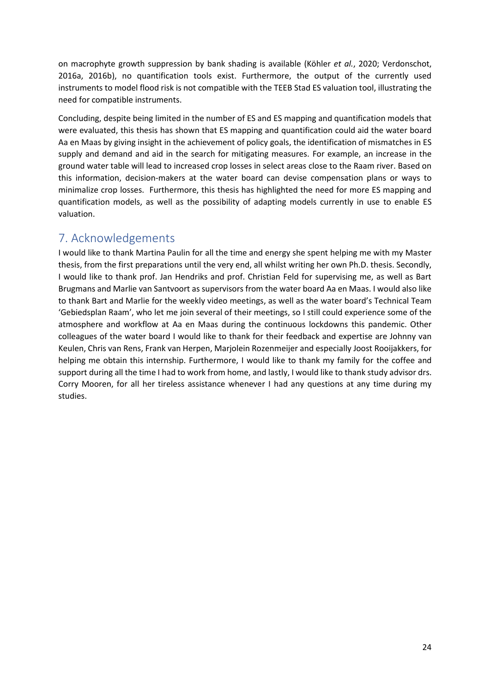on macrophyte growth suppression by bank shading is available (Köhler *et al.*, 2020; Verdonschot, 2016a, 2016b), no quantification tools exist. Furthermore, the output of the currently used instruments to model flood risk is not compatible with the TEEB Stad ES valuation tool, illustrating the need for compatible instruments.

Concluding, despite being limited in the number of ES and ES mapping and quantification models that were evaluated, this thesis has shown that ES mapping and quantification could aid the water board Aa en Maas by giving insight in the achievement of policy goals, the identification of mismatches in ES supply and demand and aid in the search for mitigating measures. For example, an increase in the ground water table will lead to increased crop losses in select areas close to the Raam river. Based on this information, decision-makers at the water board can devise compensation plans or ways to minimalize crop losses. Furthermore, this thesis has highlighted the need for more ES mapping and quantification models, as well as the possibility of adapting models currently in use to enable ES valuation.

## <span id="page-23-0"></span>7. Acknowledgements

I would like to thank Martina Paulin for all the time and energy she spent helping me with my Master thesis, from the first preparations until the very end, all whilst writing her own Ph.D. thesis. Secondly, I would like to thank prof. Jan Hendriks and prof. Christian Feld for supervising me, as well as Bart Brugmans and Marlie van Santvoort as supervisors from the water board Aa en Maas. I would also like to thank Bart and Marlie for the weekly video meetings, as well as the water board's Technical Team 'Gebiedsplan Raam', who let me join several of their meetings, so I still could experience some of the atmosphere and workflow at Aa en Maas during the continuous lockdowns this pandemic. Other colleagues of the water board I would like to thank for their feedback and expertise are Johnny van Keulen, Chris van Rens, Frank van Herpen, Marjolein Rozenmeijer and especially Joost Rooijakkers, for helping me obtain this internship. Furthermore, I would like to thank my family for the coffee and support during all the time I had to work from home, and lastly, I would like to thank study advisor drs. Corry Mooren, for all her tireless assistance whenever I had any questions at any time during my studies.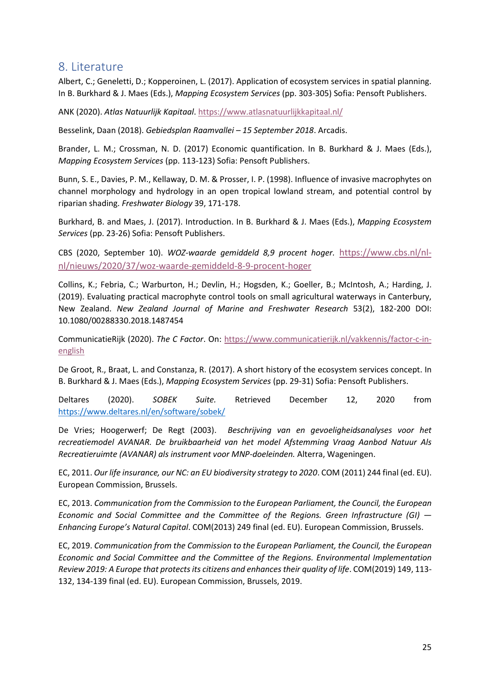### <span id="page-24-0"></span>8. Literature

Albert, C.; Geneletti, D.; Kopperoinen, L. (2017). Application of ecosystem services in spatial planning. In B. Burkhard & J. Maes (Eds.), *Mapping Ecosystem Services* (pp. 303-305) Sofia: Pensoft Publishers.

ANK (2020). *Atlas Natuurlijk Kapitaal*.<https://www.atlasnatuurlijkkapitaal.nl/>

Besselink, Daan (2018). *Gebiedsplan Raamvallei – 15 September 2018*. Arcadis.

Brander, L. M.; Crossman, N. D. (2017) Economic quantification. In B. Burkhard & J. Maes (Eds.), *Mapping Ecosystem Services* (pp. 113-123) Sofia: Pensoft Publishers.

Bunn, S. E., Davies, P. M., Kellaway, D. M. & Prosser, I. P. (1998). Influence of invasive macrophytes on channel morphology and hydrology in an open tropical lowland stream, and potential control by riparian shading. *Freshwater Biology* 39, 171-178.

Burkhard, B. and Maes, J. (2017). Introduction. In B. Burkhard & J. Maes (Eds.), *Mapping Ecosystem Services* (pp. 23-26) Sofia: Pensoft Publishers.

CBS (2020, September 10). *WOZ-waarde gemiddeld 8,9 procent hoger.* [https://www.cbs.nl/nl](https://www.cbs.nl/nl-nl/nieuws/2020/37/woz-waarde-gemiddeld-8-9-procent-hoger)[nl/nieuws/2020/37/woz-waarde-gemiddeld-8-9-procent-hoger](https://www.cbs.nl/nl-nl/nieuws/2020/37/woz-waarde-gemiddeld-8-9-procent-hoger) 

Collins, K.; Febria, C.; Warburton, H.; Devlin, H.; Hogsden, K.; Goeller, B.; McIntosh, A.; Harding, J. (2019). Evaluating practical macrophyte control tools on small agricultural waterways in Canterbury, New Zealand. *New Zealand Journal of Marine and Freshwater Research* 53(2), 182-200 DOI: 10.1080/00288330.2018.1487454

CommunicatieRijk (2020). *The C Factor*. On: [https://www.communicatierijk.nl/vakkennis/factor-c-in](https://www.communicatierijk.nl/vakkennis/factor-c-in-english)[english](https://www.communicatierijk.nl/vakkennis/factor-c-in-english)

De Groot, R., Braat, L. and Constanza, R. (2017). A short history of the ecosystem services concept. In B. Burkhard & J. Maes (Eds.), *Mapping Ecosystem Services* (pp. 29-31) Sofia: Pensoft Publishers.

Deltares (2020). *SOBEK Suite.* Retrieved December 12, 2020 from <https://www.deltares.nl/en/software/sobek/>

De Vries; Hoogerwerf; De Regt (2003). *Beschrijving van en gevoeligheidsanalyses voor het recreatiemodel AVANAR. De bruikbaarheid van het model Afstemming Vraag Aanbod Natuur Als Recreatieruimte (AVANAR) als instrument voor MNP-doeleinden.* Alterra, Wageningen.

EC, 2011. *Our life insurance, our NC: an EU biodiversity strategy to 2020*. COM (2011) 244 final (ed. EU). European Commission, Brussels.

EC, 2013. *Communication from the Commission to the European Parliament, the Council, the European Economic and Social Committee and the Committee of the Regions. Green Infrastructure (GI) — Enhancing Europe's Natural Capital*. COM(2013) 249 final (ed. EU). European Commission, Brussels.

EC, 2019. *Communication from the Commission to the European Parliament, the Council, the European Economic and Social Committee and the Committee of the Regions. Environmental Implementation Review 2019: A Europe that protects its citizens and enhances their quality of life*. COM(2019) 149, 113- 132, 134-139 final (ed. EU). European Commission, Brussels, 2019.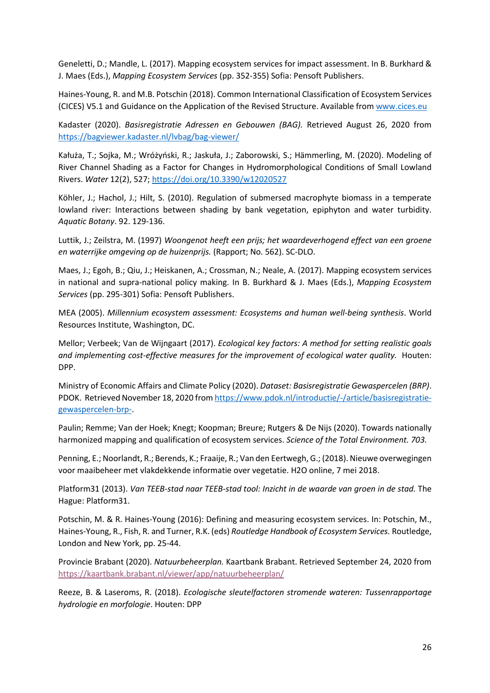Geneletti, D.; Mandle, L. (2017). Mapping ecosystem services for impact assessment. In B. Burkhard & J. Maes (Eds.), *Mapping Ecosystem Services* (pp. 352-355) Sofia: Pensoft Publishers.

Haines-Young, R. and M.B. Potschin (2018). Common International Classification of Ecosystem Services (CICES) V5.1 and Guidance on the Application of the Revised Structure. Available from [www.cices.eu](http://www.cices.eu/)

Kadaster (2020). *Basisregistratie Adressen en Gebouwen (BAG).* Retrieved August 26, 2020 from <https://bagviewer.kadaster.nl/lvbag/bag-viewer/>

Kałuża, T.; Sojka, M.; Wróżyński, R.; Jaskuła, J.; Zaborowski, S.; Hämmerling, M. (2020). Modeling of River Channel Shading as a Factor for Changes in Hydromorphological Conditions of Small Lowland Rivers. *Water* 12(2), 527; <https://doi.org/10.3390/w12020527>

Köhler, J.; Hachol, J.; Hilt, S. (2010). Regulation of submersed macrophyte biomass in a temperate lowland river: Interactions between shading by bank vegetation, epiphyton and water turbidity. *Aquatic Botany*. 92. 129-136.

Luttik, J.; Zeilstra, M. (1997) *Woongenot heeft een prijs; het waardeverhogend effect van een groene en waterrijke omgeving op de huizenprijs.* (Rapport; No. 562). SC-DLO.

Maes, J.; Egoh, B.; Qiu, J.; Heiskanen, A.; Crossman, N.; Neale, A. (2017). Mapping ecosystem services in national and supra-national policy making. In B. Burkhard & J. Maes (Eds.), *Mapping Ecosystem Services* (pp. 295-301) Sofia: Pensoft Publishers.

MEA (2005). *Millennium ecosystem assessment: Ecosystems and human well-being synthesis*. World Resources Institute, Washington, DC.

Mellor; Verbeek; Van de Wijngaart (2017). *Ecological key factors: A method for setting realistic goals*  and implementing cost-effective measures for the improvement of ecological water quality. Houten: DPP.

Ministry of Economic Affairs and Climate Policy (2020). *Dataset: Basisregistratie Gewaspercelen (BRP)*. PDOK. Retrieved November 18, 2020 from [https://www.pdok.nl/introductie/-/article/basisregistratie](https://www.pdok.nl/introductie/-/article/basisregistratie-gewaspercelen-brp-)[gewaspercelen-brp-.](https://www.pdok.nl/introductie/-/article/basisregistratie-gewaspercelen-brp-)

Paulin; Remme; Van der Hoek; Knegt; Koopman; Breure; Rutgers & De Nijs (2020). Towards nationally harmonized mapping and qualification of ecosystem services. *Science of the Total Environment. 703.* 

Penning, E.; Noorlandt, R.; Berends, K.; Fraaije, R.; Van den Eertwegh, G.; (2018). Nieuwe overwegingen voor maaibeheer met vlakdekkende informatie over vegetatie. H2O online, 7 mei 2018.

Platform31 (2013). *Van TEEB-stad naar TEEB-stad tool: Inzicht in de waarde van groen in de stad.* The Hague: Platform31.

Potschin, M. & R. Haines-Young (2016): Defining and measuring ecosystem services. In: Potschin, M., Haines-Young, R., Fish, R. and Turner, R.K. (eds) *Routledge Handbook of Ecosystem Services.* Routledge, London and New York, pp. 25-44.

Provincie Brabant (2020). *Natuurbeheerplan.* Kaartbank Brabant. Retrieved September 24, 2020 from <https://kaartbank.brabant.nl/viewer/app/natuurbeheerplan/>

Reeze, B. & Laseroms, R. (2018). *Ecologische sleutelfactoren stromende wateren: Tussenrapportage hydrologie en morfologie*. Houten: DPP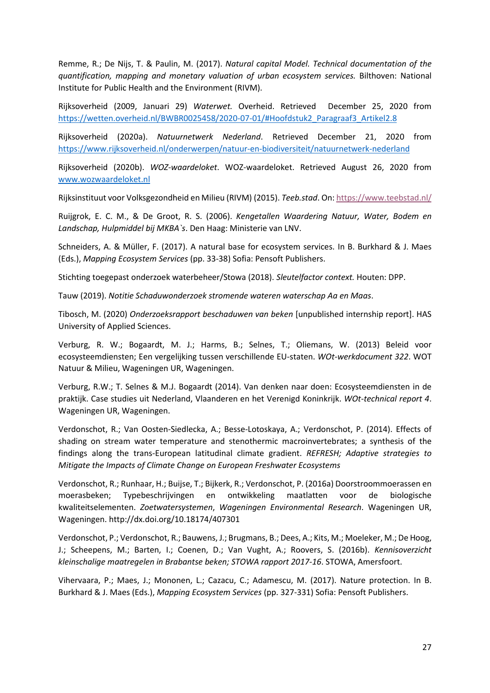Remme, R.; De Nijs, T. & Paulin, M. (2017). *Natural capital Model. Technical documentation of the quantification, mapping and monetary valuation of urban ecosystem services.* Bilthoven: National Institute for Public Health and the Environment (RIVM).

Rijksoverheid (2009, Januari 29) *Waterwet.* Overheid. Retrieved December 25, 2020 from [https://wetten.overheid.nl/BWBR0025458/2020-07-01/#Hoofdstuk2\\_Paragraaf3\\_Artikel2.8](https://wetten.overheid.nl/BWBR0025458/2020-07-01/#Hoofdstuk2_Paragraaf3_Artikel2.8)

Rijksoverheid (2020a). *Natuurnetwerk Nederland*. Retrieved December 21, 2020 from <https://www.rijksoverheid.nl/onderwerpen/natuur-en-biodiversiteit/natuurnetwerk-nederland>

Rijksoverheid (2020b). *WOZ-waardeloket*. WOZ-waardeloket. Retrieved August 26, 2020 from [www.wozwaardeloket.nl](http://www.wozwaardeloket.nl/)

Rijksinstituut voor Volksgezondheid en Milieu (RIVM) (2015). *Teeb.stad*. On[: https://www.teebstad.nl/](https://www.teebstad.nl/)

Ruijgrok, E. C. M., & De Groot, R. S. (2006). *Kengetallen Waardering Natuur, Water, Bodem en Landschap, Hulpmiddel bij MKBA`s*. Den Haag: Ministerie van LNV.

Schneiders, A. & Müller, F. (2017). A natural base for ecosystem services. In B. Burkhard & J. Maes (Eds.), *Mapping Ecosystem Services* (pp. 33-38) Sofia: Pensoft Publishers.

Stichting toegepast onderzoek waterbeheer/Stowa (2018). *Sleutelfactor context.* Houten: DPP.

Tauw (2019). *Notitie Schaduwonderzoek stromende wateren waterschap Aa en Maas*.

Tibosch, M. (2020) *Onderzoeksrapport beschaduwen van beken* [unpublished internship report]. HAS University of Applied Sciences.

Verburg, R. W.; Bogaardt, M. J.; Harms, B.; Selnes, T.; Oliemans, W. (2013) Beleid voor ecosysteemdiensten; Een vergelijking tussen verschillende EU-staten. *WOt-werkdocument 322*. WOT Natuur & Milieu, Wageningen UR, Wageningen.

Verburg, R.W.; T. Selnes & M.J. Bogaardt (2014). Van denken naar doen: Ecosysteemdiensten in de praktijk. Case studies uit Nederland, Vlaanderen en het Verenigd Koninkrijk. *WOt-technical report 4*. Wageningen UR, Wageningen.

Verdonschot, R.; Van Oosten-Siedlecka, A.; Besse-Lotoskaya, A.; Verdonschot, P. (2014). Effects of shading on stream water temperature and stenothermic macroinvertebrates; a synthesis of the findings along the trans-European latitudinal climate gradient. *REFRESH; Adaptive strategies to Mitigate the Impacts of Climate Change on European Freshwater Ecosystems*

Verdonschot, R.; Runhaar, H.; Buijse, T.; Bijkerk, R.; Verdonschot, P. (2016a) Doorstroommoerassen en moerasbeken; Typebeschrijvingen en ontwikkeling maatlatten voor de biologische kwaliteitselementen. *Zoetwatersystemen*, *Wageningen Environmental Research*. Wageningen UR, Wageningen. http://dx.doi.org/10.18174/407301

Verdonschot, P.; Verdonschot, R.; Bauwens, J.; Brugmans, B.; Dees, A.; Kits, M.; Moeleker, M.; De Hoog, J.; Scheepens, M.; Barten, I.; Coenen, D.; Van Vught, A.; Roovers, S. (2016b). *Kennisoverzicht kleinschalige maatregelen in Brabantse beken; STOWA rapport 2017-16*. STOWA, Amersfoort.

Vihervaara, P.; Maes, J.; Mononen, L.; Cazacu, C.; Adamescu, M. (2017). Nature protection. In B. Burkhard & J. Maes (Eds.), *Mapping Ecosystem Services* (pp. 327-331) Sofia: Pensoft Publishers.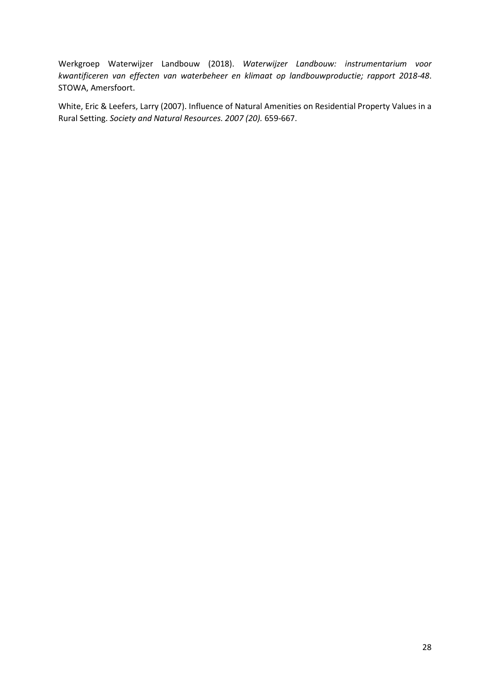Werkgroep Waterwijzer Landbouw (2018). *Waterwijzer Landbouw: instrumentarium voor kwantificeren van effecten van waterbeheer en klimaat op landbouwproductie; rapport 2018-48*. STOWA, Amersfoort.

White, Eric & Leefers, Larry (2007). Influence of Natural Amenities on Residential Property Values in a Rural Setting. *Society and Natural Resources. 2007 (20).* 659-667.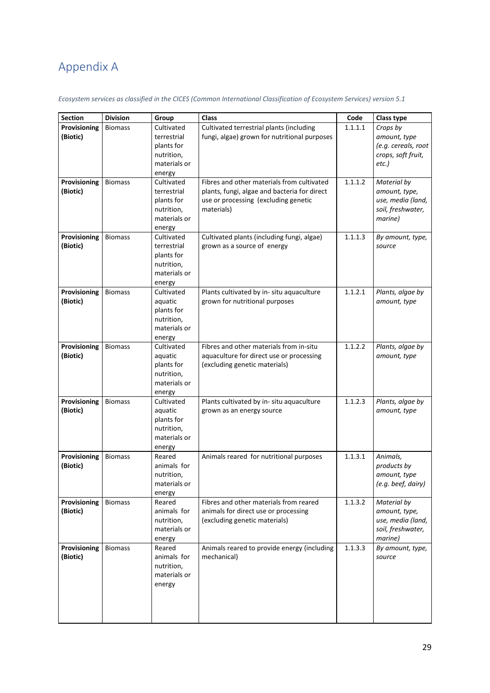# <span id="page-28-0"></span>Appendix A

*Ecosystem services as classified in the CICES (Common International Classification of Ecosystem Services) version 5.1*

| <b>Section</b> | <b>Division</b> | Group                      | Class                                        | Code    | Class type                  |
|----------------|-----------------|----------------------------|----------------------------------------------|---------|-----------------------------|
| Provisioning   | <b>Biomass</b>  | Cultivated                 | Cultivated terrestrial plants (including     | 1.1.1.1 | Crops by                    |
| (Biotic)       |                 | terrestrial                | fungi, algae) grown for nutritional purposes |         | amount, type                |
|                |                 | plants for                 |                                              |         | (e.g. cereals, root         |
|                |                 | nutrition,                 |                                              |         | crops, soft fruit,          |
|                |                 | materials or               |                                              |         | etc.)                       |
|                |                 | energy                     |                                              |         |                             |
| Provisioning   | <b>Biomass</b>  | Cultivated                 | Fibres and other materials from cultivated   | 1.1.1.2 | Material by                 |
| (Biotic)       |                 | terrestrial                | plants, fungi, algae and bacteria for direct |         | amount, type,               |
|                |                 | plants for                 | use or processing (excluding genetic         |         | use, media (land,           |
|                |                 | nutrition,                 | materials)                                   |         | soil, freshwater,           |
|                |                 | materials or               |                                              |         | marine)                     |
| Provisioning   | <b>Biomass</b>  | energy<br>Cultivated       | Cultivated plants (including fungi, algae)   | 1.1.1.3 | By amount, type,            |
| (Biotic)       |                 | terrestrial                | grown as a source of energy                  |         | source                      |
|                |                 | plants for                 |                                              |         |                             |
|                |                 | nutrition,                 |                                              |         |                             |
|                |                 | materials or               |                                              |         |                             |
|                |                 | energy                     |                                              |         |                             |
| Provisioning   | <b>Biomass</b>  | Cultivated                 | Plants cultivated by in- situ aquaculture    | 1.1.2.1 | Plants, algae by            |
| (Biotic)       |                 | aquatic                    | grown for nutritional purposes               |         | amount, type                |
|                |                 | plants for                 |                                              |         |                             |
|                |                 | nutrition,                 |                                              |         |                             |
|                |                 | materials or               |                                              |         |                             |
|                |                 | energy                     |                                              |         |                             |
| Provisioning   | <b>Biomass</b>  | Cultivated                 | Fibres and other materials from in-situ      | 1.1.2.2 | Plants, algae by            |
| (Biotic)       |                 | aquatic                    | aquaculture for direct use or processing     |         | amount, type                |
|                |                 | plants for                 | (excluding genetic materials)                |         |                             |
|                |                 | nutrition,                 |                                              |         |                             |
|                |                 | materials or               |                                              |         |                             |
|                |                 | energy                     |                                              |         |                             |
| Provisioning   | <b>Biomass</b>  | Cultivated                 | Plants cultivated by in- situ aquaculture    | 1.1.2.3 | Plants, algae by            |
| (Biotic)       |                 | aquatic                    | grown as an energy source                    |         | amount, type                |
|                |                 | plants for                 |                                              |         |                             |
|                |                 | nutrition,<br>materials or |                                              |         |                             |
|                |                 |                            |                                              |         |                             |
| Provisioning   | <b>Biomass</b>  | energy<br>Reared           | Animals reared for nutritional purposes      | 1.1.3.1 | Animals,                    |
| (Biotic)       |                 | animals for                |                                              |         |                             |
|                |                 | nutrition,                 |                                              |         | products by<br>amount, type |
|                |                 | materials or               |                                              |         | (e.g. beef, dairy)          |
|                |                 | energy                     |                                              |         |                             |
| Provisioning   | <b>Biomass</b>  | Reared                     | Fibres and other materials from reared       | 1.1.3.2 | Material by                 |
| (Biotic)       |                 | animals for                | animals for direct use or processing         |         | amount, type,               |
|                |                 | nutrition,                 | (excluding genetic materials)                |         | use, media (land,           |
|                |                 | materials or               |                                              |         | soil, freshwater,           |
|                |                 | energy                     |                                              |         | marine)                     |
| Provisioning   | <b>Biomass</b>  | Reared                     | Animals reared to provide energy (including  | 1.1.3.3 | By amount, type,            |
| (Biotic)       |                 | animals for                | mechanical)                                  |         | source                      |
|                |                 | nutrition,                 |                                              |         |                             |
|                |                 | materials or               |                                              |         |                             |
|                |                 | energy                     |                                              |         |                             |
|                |                 |                            |                                              |         |                             |
|                |                 |                            |                                              |         |                             |
|                |                 |                            |                                              |         |                             |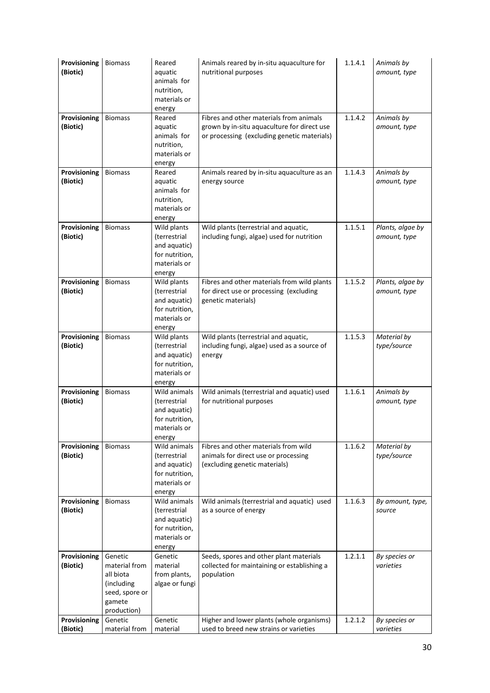| Provisioning<br>(Biotic) | <b>Biomass</b>                                                                                 | Reared<br>aquatic<br>animals for<br>nutrition,<br>materials or<br>energy                 | Animals reared by in-situ aquaculture for<br>nutritional purposes                                                                     | 1.1.4.1 | Animals by<br>amount, type       |
|--------------------------|------------------------------------------------------------------------------------------------|------------------------------------------------------------------------------------------|---------------------------------------------------------------------------------------------------------------------------------------|---------|----------------------------------|
| Provisioning<br>(Biotic) | <b>Biomass</b>                                                                                 | Reared<br>aquatic<br>animals for<br>nutrition,<br>materials or<br>energy                 | Fibres and other materials from animals<br>grown by in-situ aquaculture for direct use<br>or processing (excluding genetic materials) | 1.1.4.2 | Animals by<br>amount, type       |
| Provisioning<br>(Biotic) | <b>Biomass</b>                                                                                 | Reared<br>aquatic<br>animals for<br>nutrition,<br>materials or<br>energy                 | Animals reared by in-situ aquaculture as an<br>energy source                                                                          | 1.1.4.3 | Animals by<br>amount, type       |
| Provisioning<br>(Biotic) | <b>Biomass</b>                                                                                 | Wild plants<br>(terrestrial<br>and aquatic)<br>for nutrition,<br>materials or<br>energy  | Wild plants (terrestrial and aquatic,<br>including fungi, algae) used for nutrition                                                   | 1.1.5.1 | Plants, algae by<br>amount, type |
| Provisioning<br>(Biotic) | <b>Biomass</b>                                                                                 | Wild plants<br>(terrestrial<br>and aquatic)<br>for nutrition,<br>materials or<br>energy  | Fibres and other materials from wild plants<br>for direct use or processing (excluding<br>genetic materials)                          | 1.1.5.2 | Plants, algae by<br>amount, type |
| Provisioning<br>(Biotic) | <b>Biomass</b>                                                                                 | Wild plants<br>(terrestrial<br>and aquatic)<br>for nutrition,<br>materials or<br>energy  | Wild plants (terrestrial and aquatic,<br>including fungi, algae) used as a source of<br>energy                                        | 1.1.5.3 | Material by<br>type/source       |
| Provisioning<br>(Biotic) | <b>Biomass</b>                                                                                 | Wild animals<br>(terrestrial<br>and aquatic)<br>for nutrition,<br>materials or<br>energy | Wild animals (terrestrial and aquatic) used<br>for nutritional purposes                                                               | 1.1.6.1 | Animals by<br>amount, type       |
| Provisioning<br>(Biotic) | <b>Biomass</b>                                                                                 | Wild animals<br>(terrestrial<br>and aquatic)<br>for nutrition,<br>materials or<br>energy | Fibres and other materials from wild<br>animals for direct use or processing<br>(excluding genetic materials)                         | 1.1.6.2 | Material by<br>type/source       |
| Provisioning<br>(Biotic) | <b>Biomass</b>                                                                                 | Wild animals<br>(terrestrial<br>and aquatic)<br>for nutrition,<br>materials or<br>energy | Wild animals (terrestrial and aquatic) used<br>as a source of energy                                                                  | 1.1.6.3 | By amount, type,<br>source       |
| Provisioning<br>(Biotic) | Genetic<br>material from<br>all biota<br>(including<br>seed, spore or<br>gamete<br>production) | Genetic<br>material<br>from plants,<br>algae or fungi                                    | Seeds, spores and other plant materials<br>collected for maintaining or establishing a<br>population                                  | 1.2.1.1 | By species or<br>varieties       |
| Provisioning<br>(Biotic) | Genetic<br>material from                                                                       | Genetic<br>material                                                                      | Higher and lower plants (whole organisms)<br>used to breed new strains or varieties                                                   | 1.2.1.2 | By species or<br>varieties       |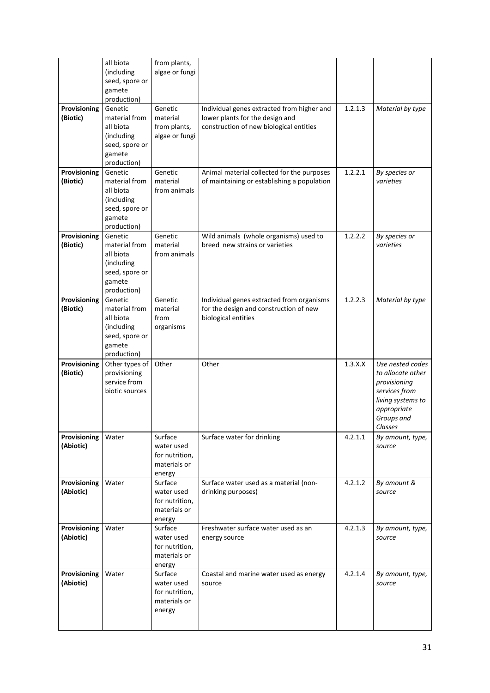|                           | all biota<br>(including<br>seed, spore or<br>gamete<br>production)                             | from plants,<br>algae or fungi                                    |                                                                                                                          |         |                                                                                                                                     |
|---------------------------|------------------------------------------------------------------------------------------------|-------------------------------------------------------------------|--------------------------------------------------------------------------------------------------------------------------|---------|-------------------------------------------------------------------------------------------------------------------------------------|
| Provisioning<br>(Biotic)  | Genetic<br>material from<br>all biota<br>(including<br>seed, spore or<br>gamete<br>production) | Genetic<br>material<br>from plants,<br>algae or fungi             | Individual genes extracted from higher and<br>lower plants for the design and<br>construction of new biological entities | 1.2.1.3 | Material by type                                                                                                                    |
| Provisioning<br>(Biotic)  | Genetic<br>material from<br>all biota<br>(including<br>seed, spore or<br>gamete<br>production) | Genetic<br>material<br>from animals                               | Animal material collected for the purposes<br>of maintaining or establishing a population                                | 1.2.2.1 | By species or<br>varieties                                                                                                          |
| Provisioning<br>(Biotic)  | Genetic<br>material from<br>all biota<br>(including<br>seed, spore or<br>gamete<br>production) | Genetic<br>material<br>from animals                               | Wild animals (whole organisms) used to<br>breed new strains or varieties                                                 | 1.2.2.2 | By species or<br>varieties                                                                                                          |
| Provisioning<br>(Biotic)  | Genetic<br>material from<br>all biota<br>(including<br>seed, spore or<br>gamete<br>production) | Genetic<br>material<br>from<br>organisms                          | Individual genes extracted from organisms<br>for the design and construction of new<br>biological entities               | 1.2.2.3 | Material by type                                                                                                                    |
| Provisioning<br>(Biotic)  | Other types of<br>provisioning<br>service from<br>biotic sources                               | Other                                                             | Other                                                                                                                    | 1.3.X.X | Use nested codes<br>to allocate other<br>provisioning<br>services from<br>living systems to<br>appropriate<br>Groups and<br>Classes |
| Provisioning<br>(Abiotic) | Water                                                                                          | Surface<br>water used<br>for nutrition,<br>materials or<br>energy | Surface water for drinking                                                                                               | 4.2.1.1 | By amount, type,<br>source                                                                                                          |
| Provisioning<br>(Abiotic) | Water                                                                                          | Surface<br>water used<br>for nutrition,<br>materials or<br>energy | Surface water used as a material (non-<br>drinking purposes)                                                             | 4.2.1.2 | By amount &<br>source                                                                                                               |
| Provisioning<br>(Abiotic) | Water                                                                                          | Surface<br>water used<br>for nutrition,<br>materials or<br>energy | Freshwater surface water used as an<br>energy source                                                                     | 4.2.1.3 | By amount, type,<br>source                                                                                                          |
| Provisioning<br>(Abiotic) | Water                                                                                          | Surface<br>water used<br>for nutrition,<br>materials or<br>energy | Coastal and marine water used as energy<br>source                                                                        | 4.2.1.4 | By amount, type,<br>source                                                                                                          |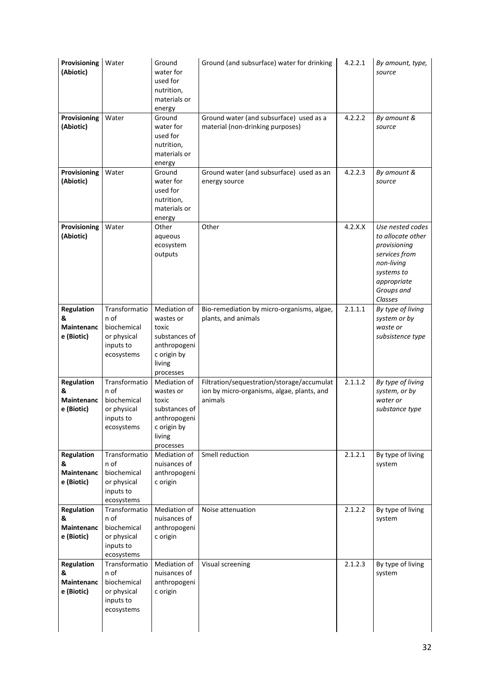| Provisioning<br>(Abiotic)                                 | Water                                                                          | Ground<br>water for<br>used for<br>nutrition,<br>materials or<br>energy                                   | Ground (and subsurface) water for drinking                                                          | 4.2.2.1 | By amount, type,<br>source                                                                                                                 |
|-----------------------------------------------------------|--------------------------------------------------------------------------------|-----------------------------------------------------------------------------------------------------------|-----------------------------------------------------------------------------------------------------|---------|--------------------------------------------------------------------------------------------------------------------------------------------|
| Provisioning<br>(Abiotic)                                 | Water                                                                          | Ground<br>water for<br>used for<br>nutrition,<br>materials or<br>energy                                   | Ground water (and subsurface) used as a<br>material (non-drinking purposes)                         | 4.2.2.2 | By amount &<br>source                                                                                                                      |
| Provisioning<br>(Abiotic)                                 | Water                                                                          | Ground<br>water for<br>used for<br>nutrition,<br>materials or<br>energy                                   | Ground water (and subsurface) used as an<br>energy source                                           | 4.2.2.3 | By amount &<br>source                                                                                                                      |
| Provisioning<br>(Abiotic)                                 | Water                                                                          | Other<br>aqueous<br>ecosystem<br>outputs                                                                  | Other                                                                                               | 4.2.X.X | Use nested codes<br>to allocate other<br>provisioning<br>services from<br>non-living<br>systems to<br>appropriate<br>Groups and<br>Classes |
| <b>Regulation</b><br>&<br><b>Maintenanc</b><br>e (Biotic) | Transformatio<br>n of<br>biochemical<br>or physical<br>inputs to<br>ecosystems | Mediation of<br>wastes or<br>toxic<br>substances of<br>anthropogeni<br>c origin by<br>living<br>processes | Bio-remediation by micro-organisms, algae,<br>plants, and animals                                   | 2.1.1.1 | By type of living<br>system or by<br>waste or<br>subsistence type                                                                          |
| <b>Regulation</b><br>&<br><b>Maintenanc</b><br>e (Biotic) | Transformatio<br>n of<br>biochemical<br>or physical<br>inputs to<br>ecosystems | Mediation of<br>wastes or<br>toxic<br>substances of<br>anthropogeni<br>c origin by<br>living<br>processes | Filtration/sequestration/storage/accumulat<br>ion by micro-organisms, algae, plants, and<br>animals | 2.1.1.2 | By type of living<br>system, or by<br>water or<br>substance type                                                                           |
| <b>Regulation</b><br>&<br><b>Maintenanc</b><br>e (Biotic) | Transformatio<br>n of<br>biochemical<br>or physical<br>inputs to<br>ecosystems | Mediation of<br>nuisances of<br>anthropogeni<br>c origin                                                  | Smell reduction                                                                                     | 2.1.2.1 | By type of living<br>system                                                                                                                |
| <b>Regulation</b><br>&<br><b>Maintenanc</b><br>e (Biotic) | Transformatio<br>n of<br>biochemical<br>or physical<br>inputs to<br>ecosystems | Mediation of<br>nuisances of<br>anthropogeni<br>c origin                                                  | Noise attenuation                                                                                   | 2.1.2.2 | By type of living<br>system                                                                                                                |
| <b>Regulation</b><br>&<br><b>Maintenanc</b><br>e (Biotic) | Transformatio<br>n of<br>biochemical<br>or physical<br>inputs to<br>ecosystems | Mediation of<br>nuisances of<br>anthropogeni<br>c origin                                                  | Visual screening                                                                                    | 2.1.2.3 | By type of living<br>system                                                                                                                |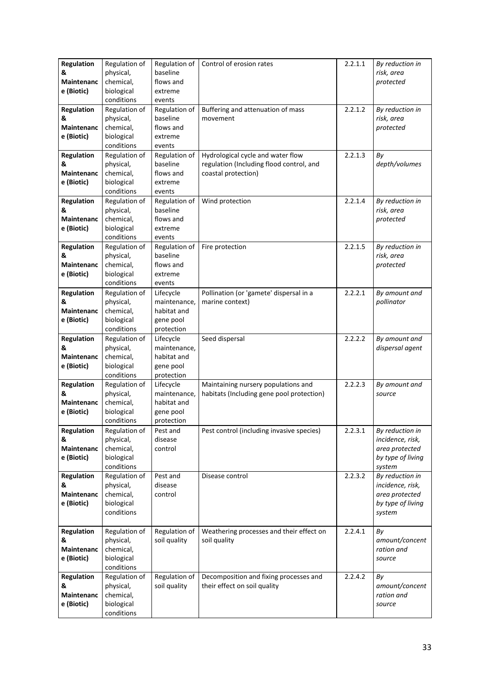| <b>Regulation</b> | Regulation of              | Regulation of             | Control of erosion rates                  | 2.2.1.1 | By reduction in         |
|-------------------|----------------------------|---------------------------|-------------------------------------------|---------|-------------------------|
| &                 | physical,                  | baseline                  |                                           |         | risk, area              |
| Maintenanc        | chemical,                  | flows and                 |                                           |         | protected               |
| e (Biotic)        | biological                 | extreme                   |                                           |         |                         |
|                   | conditions                 | events                    |                                           |         |                         |
| Regulation        | Regulation of              | Regulation of             | Buffering and attenuation of mass         | 2.2.1.2 | By reduction in         |
| &                 | physical,                  | baseline                  | movement                                  |         | risk, area              |
| <b>Maintenanc</b> | chemical,                  | flows and                 |                                           |         | protected               |
| e (Biotic)        | biological                 | extreme                   |                                           |         |                         |
|                   | conditions                 | events                    |                                           |         |                         |
| Regulation        | Regulation of              | Regulation of             | Hydrological cycle and water flow         | 2.2.1.3 | By                      |
| &                 | physical,                  | baseline                  | regulation (Including flood control, and  |         | depth/volumes           |
| <b>Maintenanc</b> | chemical,                  | flows and                 | coastal protection)                       |         |                         |
| e (Biotic)        | biological                 | extreme                   |                                           |         |                         |
|                   | conditions                 | events                    |                                           |         |                         |
| Regulation        | Regulation of              | Regulation of             | Wind protection                           | 2.2.1.4 | By reduction in         |
| &                 | physical,                  | baseline                  |                                           |         | risk, area              |
| Maintenanc        | chemical,                  | flows and                 |                                           |         | protected               |
| e (Biotic)        | biological                 | extreme                   |                                           |         |                         |
|                   | conditions                 | events                    |                                           |         |                         |
| <b>Regulation</b> | Regulation of              | Regulation of             | Fire protection                           | 2.2.1.5 | By reduction in         |
| &                 | physical,                  | baseline                  |                                           |         | risk, area              |
| Maintenanc        | chemical,                  | flows and                 |                                           |         | protected               |
| e (Biotic)        | biological                 | extreme                   |                                           |         |                         |
|                   | conditions                 | events                    |                                           |         |                         |
| <b>Regulation</b> | Regulation of              | Lifecycle                 | Pollination (or 'gamete' dispersal in a   | 2.2.2.1 | By amount and           |
| &                 | physical,                  | maintenance,              | marine context)                           |         | pollinator              |
| Maintenanc        | chemical,                  | habitat and               |                                           |         |                         |
| e (Biotic)        | biological                 | gene pool                 |                                           |         |                         |
|                   | conditions                 | protection                |                                           |         |                         |
| <b>Regulation</b> | Regulation of              | Lifecycle                 | Seed dispersal                            | 2.2.2.2 | By amount and           |
| &                 | physical,                  | maintenance,              |                                           |         | dispersal agent         |
| Maintenanc        | chemical,                  | habitat and               |                                           |         |                         |
| e (Biotic)        | biological                 | gene pool                 |                                           |         |                         |
|                   | conditions                 | protection                | Maintaining nursery populations and       | 2.2.2.3 |                         |
| Regulation<br>&   | Regulation of<br>physical, | Lifecycle<br>maintenance, | habitats (Including gene pool protection) |         | By amount and<br>source |
| Maintenanc        | chemical,                  | habitat and               |                                           |         |                         |
| e (Biotic)        | biological                 | gene pool                 |                                           |         |                         |
|                   | conditions                 | protection                |                                           |         |                         |
| <b>Regulation</b> | Regulation of              | Pest and                  | Pest control (including invasive species) | 2.2.3.1 | By reduction in         |
| &                 | physical,                  | disease                   |                                           |         | incidence, risk,        |
| <b>Maintenanc</b> | chemical,                  | control                   |                                           |         | area protected          |
| e (Biotic)        | biological                 |                           |                                           |         | by type of living       |
|                   | conditions                 |                           |                                           |         | system                  |
| <b>Regulation</b> | Regulation of              | Pest and                  | Disease control                           | 2.2.3.2 | By reduction in         |
| &                 | physical,                  | disease                   |                                           |         | incidence, risk,        |
| <b>Maintenanc</b> | chemical,                  | control                   |                                           |         | area protected          |
| e (Biotic)        | biological                 |                           |                                           |         | by type of living       |
|                   | conditions                 |                           |                                           |         | system                  |
|                   |                            |                           |                                           |         |                         |
| Regulation        | Regulation of              | Regulation of             | Weathering processes and their effect on  | 2.2.4.1 | By                      |
| &                 | physical,                  | soil quality              | soil quality                              |         | amount/concent          |
| <b>Maintenanc</b> | chemical,                  |                           |                                           |         | ration and              |
| e (Biotic)        | biological                 |                           |                                           |         | source                  |
|                   | conditions                 |                           |                                           |         |                         |
| <b>Regulation</b> | Regulation of              | Regulation of             | Decomposition and fixing processes and    | 2.2.4.2 | Βy                      |
| &                 | physical,                  | soil quality              | their effect on soil quality              |         | amount/concent          |
| <b>Maintenanc</b> | chemical,                  |                           |                                           |         | ration and              |
| e (Biotic)        | biological                 |                           |                                           |         | source                  |
|                   | conditions                 |                           |                                           |         |                         |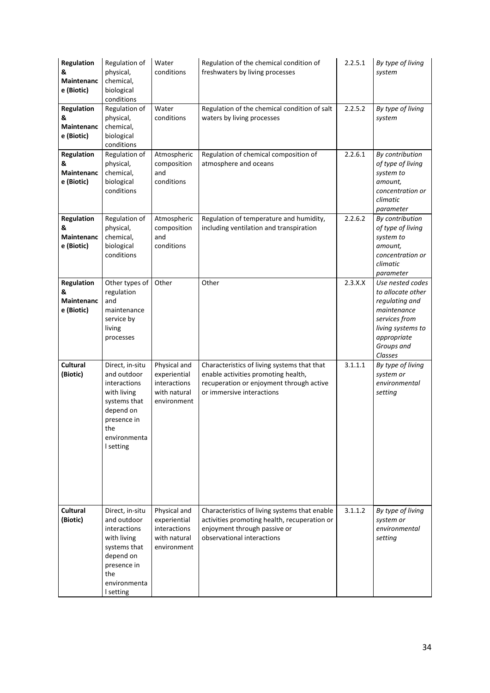| Regulation<br>&<br><b>Maintenanc</b><br>e (Biotic) | Regulation of<br>physical,<br>chemical,<br>biological<br>conditions                                                                           | Water<br>conditions                                                         | Regulation of the chemical condition of<br>freshwaters by living processes                                                                                  | 2.2.5.1 | By type of living<br>system                                                                                                                          |
|----------------------------------------------------|-----------------------------------------------------------------------------------------------------------------------------------------------|-----------------------------------------------------------------------------|-------------------------------------------------------------------------------------------------------------------------------------------------------------|---------|------------------------------------------------------------------------------------------------------------------------------------------------------|
| Regulation<br>&<br>Maintenanc<br>e (Biotic)        | Regulation of<br>physical,<br>chemical,<br>biological<br>conditions                                                                           | Water<br>conditions                                                         | Regulation of the chemical condition of salt<br>waters by living processes                                                                                  | 2.2.5.2 | By type of living<br>system                                                                                                                          |
| Regulation<br>&<br><b>Maintenanc</b><br>e (Biotic) | Regulation of<br>physical,<br>chemical,<br>biological<br>conditions                                                                           | Atmospheric<br>composition<br>and<br>conditions                             | Regulation of chemical composition of<br>atmosphere and oceans                                                                                              | 2.2.6.1 | By contribution<br>of type of living<br>system to<br>amount,<br>concentration or<br>climatic<br>parameter                                            |
| Regulation<br>&<br><b>Maintenanc</b><br>e (Biotic) | Regulation of<br>physical,<br>chemical,<br>biological<br>conditions                                                                           | Atmospheric<br>composition<br>and<br>conditions                             | Regulation of temperature and humidity,<br>including ventilation and transpiration                                                                          | 2.2.6.2 | By contribution<br>of type of living<br>system to<br>amount,<br>concentration or<br>climatic<br>parameter                                            |
| Regulation<br>&<br>Maintenanc<br>e (Biotic)        | Other types of<br>regulation<br>and<br>maintenance<br>service by<br>living<br>processes                                                       | Other                                                                       | Other                                                                                                                                                       | 2.3.X.X | Use nested codes<br>to allocate other<br>regulating and<br>maintenance<br>services from<br>living systems to<br>appropriate<br>Groups and<br>Classes |
| Cultural<br>(Biotic)                               | Direct, in-situ<br>and outdoor<br>interactions<br>with living<br>systems that<br>depend on<br>presence in<br>the<br>environmenta<br>I setting | Physical and<br>experiential<br>interactions<br>with natural<br>environment | Characteristics of living systems that that<br>enable activities promoting health,<br>recuperation or enjoyment through active<br>or immersive interactions | 3.1.1.1 | By type of living<br>system or<br>environmental<br>setting                                                                                           |
| <b>Cultural</b><br>(Biotic)                        | Direct, in-situ<br>and outdoor<br>interactions<br>with living<br>systems that<br>depend on<br>presence in<br>the<br>environmenta<br>I setting | Physical and<br>experiential<br>interactions<br>with natural<br>environment | Characteristics of living systems that enable<br>activities promoting health, recuperation or<br>enjoyment through passive or<br>observational interactions | 3.1.1.2 | By type of living<br>system or<br>environmental<br>setting                                                                                           |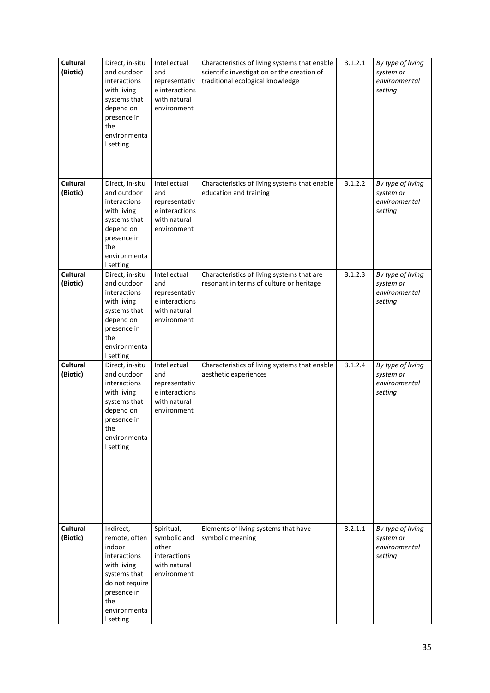| <b>Cultural</b><br>(Biotic) | Direct, in-situ<br>and outdoor<br>interactions<br>with living<br>systems that<br>depend on<br>presence in<br>the<br>environmenta<br>I setting            | Intellectual<br>and<br>representativ<br>e interactions<br>with natural<br>environment | Characteristics of living systems that enable<br>scientific investigation or the creation of<br>traditional ecological knowledge | 3.1.2.1 | By type of living<br>system or<br>environmental<br>setting |
|-----------------------------|----------------------------------------------------------------------------------------------------------------------------------------------------------|---------------------------------------------------------------------------------------|----------------------------------------------------------------------------------------------------------------------------------|---------|------------------------------------------------------------|
| Cultural<br>(Biotic)        | Direct, in-situ<br>and outdoor<br>interactions<br>with living<br>systems that<br>depend on<br>presence in<br>the<br>environmenta<br>I setting            | Intellectual<br>and<br>representativ<br>e interactions<br>with natural<br>environment | Characteristics of living systems that enable<br>education and training                                                          | 3.1.2.2 | By type of living<br>system or<br>environmental<br>setting |
| <b>Cultural</b><br>(Biotic) | Direct, in-situ<br>and outdoor<br>interactions<br>with living<br>systems that<br>depend on<br>presence in<br>the<br>environmenta<br>I setting            | Intellectual<br>and<br>representativ<br>e interactions<br>with natural<br>environment | Characteristics of living systems that are<br>resonant in terms of culture or heritage                                           | 3.1.2.3 | By type of living<br>system or<br>environmental<br>setting |
| <b>Cultural</b><br>(Biotic) | Direct, in-situ<br>and outdoor<br>interactions<br>with living<br>systems that<br>depend on<br>presence in<br>the<br>environmenta<br>I setting            | Intellectual<br>and<br>representativ<br>e interactions<br>with natural<br>environment | Characteristics of living systems that enable<br>aesthetic experiences                                                           | 3.1.2.4 | By type of living<br>system or<br>environmental<br>setting |
| <b>Cultural</b><br>(Biotic) | Indirect,<br>remote, often<br>indoor<br>interactions<br>with living<br>systems that<br>do not require<br>presence in<br>the<br>environmenta<br>I setting | Spiritual,<br>symbolic and<br>other<br>interactions<br>with natural<br>environment    | Elements of living systems that have<br>symbolic meaning                                                                         | 3.2.1.1 | By type of living<br>system or<br>environmental<br>setting |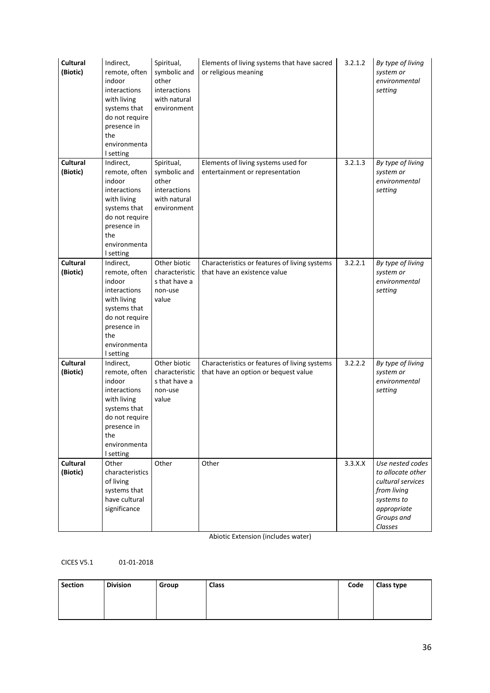| Cultural<br>(Biotic)        | Indirect,<br>remote, often<br>indoor<br>interactions<br>with living<br>systems that<br>do not require<br>presence in<br>the<br>environmenta<br>I setting | Spiritual,<br>symbolic and<br>other<br>interactions<br>with natural<br>environment | Elements of living systems that have sacred<br>or religious meaning                   | 3.2.1.2 | By type of living<br>system or<br>environmental<br>setting                                                                      |
|-----------------------------|----------------------------------------------------------------------------------------------------------------------------------------------------------|------------------------------------------------------------------------------------|---------------------------------------------------------------------------------------|---------|---------------------------------------------------------------------------------------------------------------------------------|
| <b>Cultural</b><br>(Biotic) | Indirect,<br>remote, often<br>indoor<br>interactions<br>with living<br>systems that<br>do not require<br>presence in<br>the<br>environmenta<br>I setting | Spiritual,<br>symbolic and<br>other<br>interactions<br>with natural<br>environment | Elements of living systems used for<br>entertainment or representation                | 3.2.1.3 | By type of living<br>system or<br>environmental<br>setting                                                                      |
| <b>Cultural</b><br>(Biotic) | Indirect,<br>remote, often<br>indoor<br>interactions<br>with living<br>systems that<br>do not require<br>presence in<br>the<br>environmenta<br>I setting | Other biotic<br>characteristic<br>s that have a<br>non-use<br>value                | Characteristics or features of living systems<br>that have an existence value         | 3.2.2.1 | By type of living<br>system or<br>environmental<br>setting                                                                      |
| Cultural<br>(Biotic)        | Indirect,<br>remote, often<br>indoor<br>interactions<br>with living<br>systems that<br>do not require<br>presence in<br>the<br>environmenta<br>I setting | Other biotic<br>characteristic<br>s that have a<br>non-use<br>value                | Characteristics or features of living systems<br>that have an option or bequest value | 3.2.2.2 | By type of living<br>system or<br>environmental<br>setting                                                                      |
| Cultural<br>(Biotic)        | Other<br>characteristics<br>of living<br>systems that<br>have cultural<br>significance                                                                   | Other                                                                              | Other                                                                                 | 3.3.X.X | Use nested codes<br>to allocate other<br>cultural services<br>from living<br>systems to<br>appropriate<br>Groups and<br>Classes |

Abiotic Extension (includes water)

CICES V5.1 01-01-2018

| <b>Section</b> | <b>Division</b> | Group | <b>Class</b> | Code | <b>Class type</b> |
|----------------|-----------------|-------|--------------|------|-------------------|
|                |                 |       |              |      |                   |
|                |                 |       |              |      |                   |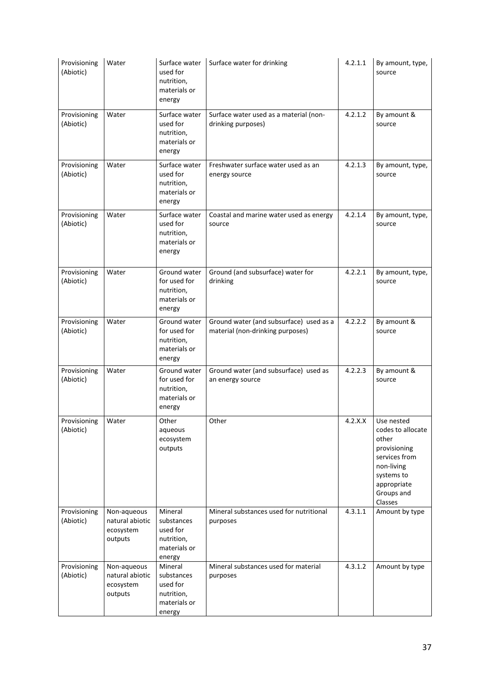| Provisioning<br>(Abiotic) | Water                                                  | Surface water<br>used for<br>nutrition,<br>materials or<br>energy         | Surface water for drinking                                                  | 4.2.1.1 | By amount, type,<br>source                                                                                                                    |
|---------------------------|--------------------------------------------------------|---------------------------------------------------------------------------|-----------------------------------------------------------------------------|---------|-----------------------------------------------------------------------------------------------------------------------------------------------|
| Provisioning<br>(Abiotic) | Water                                                  | Surface water<br>used for<br>nutrition,<br>materials or<br>energy         | Surface water used as a material (non-<br>drinking purposes)                | 4.2.1.2 | By amount &<br>source                                                                                                                         |
| Provisioning<br>(Abiotic) | Water                                                  | Surface water<br>used for<br>nutrition,<br>materials or<br>energy         | Freshwater surface water used as an<br>energy source                        | 4.2.1.3 | By amount, type,<br>source                                                                                                                    |
| Provisioning<br>(Abiotic) | Water                                                  | Surface water<br>used for<br>nutrition,<br>materials or<br>energy         | Coastal and marine water used as energy<br>source                           | 4.2.1.4 | By amount, type,<br>source                                                                                                                    |
| Provisioning<br>(Abiotic) | Water                                                  | Ground water<br>for used for<br>nutrition,<br>materials or<br>energy      | Ground (and subsurface) water for<br>drinking                               | 4.2.2.1 | By amount, type,<br>source                                                                                                                    |
| Provisioning<br>(Abiotic) | Water                                                  | Ground water<br>for used for<br>nutrition,<br>materials or<br>energy      | Ground water (and subsurface) used as a<br>material (non-drinking purposes) | 4.2.2.2 | By amount &<br>source                                                                                                                         |
| Provisioning<br>(Abiotic) | Water                                                  | Ground water<br>for used for<br>nutrition,<br>materials or<br>energy      | Ground water (and subsurface) used as<br>an energy source                   | 4.2.2.3 | By amount &<br>source                                                                                                                         |
| Provisioning<br>(Abiotic) | Water                                                  | Other<br>aqueous<br>ecosystem<br>outputs                                  | Other                                                                       | 4.2.X.X | Use nested<br>codes to allocate<br>other<br>provisioning<br>services from<br>non-living<br>systems to<br>appropriate<br>Groups and<br>Classes |
| Provisioning<br>(Abiotic) | Non-aqueous<br>natural abiotic<br>ecosystem<br>outputs | Mineral<br>substances<br>used for<br>nutrition,<br>materials or<br>energy | Mineral substances used for nutritional<br>purposes                         | 4.3.1.1 | Amount by type                                                                                                                                |
| Provisioning<br>(Abiotic) | Non-aqueous<br>natural abiotic<br>ecosystem<br>outputs | Mineral<br>substances<br>used for<br>nutrition,<br>materials or<br>energy | Mineral substances used for material<br>purposes                            | 4.3.1.2 | Amount by type                                                                                                                                |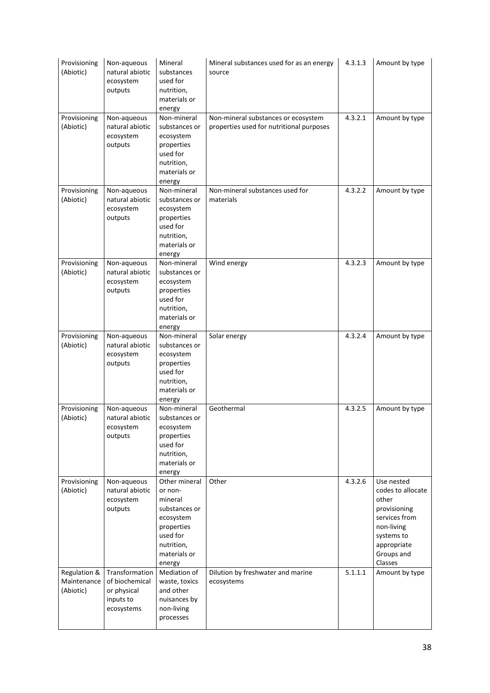| Provisioning<br>(Abiotic)                | Non-aqueous<br>natural abiotic<br>ecosystem<br>outputs                     | Mineral<br>substances<br>used for<br>nutrition,<br>materials or<br>energy                                                           | Mineral substances used for as an energy<br>source                              | 4.3.1.3 | Amount by type                                                                                                                                |
|------------------------------------------|----------------------------------------------------------------------------|-------------------------------------------------------------------------------------------------------------------------------------|---------------------------------------------------------------------------------|---------|-----------------------------------------------------------------------------------------------------------------------------------------------|
| Provisioning<br>(Abiotic)                | Non-aqueous<br>natural abiotic<br>ecosystem<br>outputs                     | Non-mineral<br>substances or<br>ecosystem<br>properties<br>used for<br>nutrition,<br>materials or<br>energy                         | Non-mineral substances or ecosystem<br>properties used for nutritional purposes | 4.3.2.1 | Amount by type                                                                                                                                |
| Provisioning<br>(Abiotic)                | Non-aqueous<br>natural abiotic<br>ecosystem<br>outputs                     | Non-mineral<br>substances or<br>ecosystem<br>properties<br>used for<br>nutrition,<br>materials or<br>energy                         | Non-mineral substances used for<br>materials                                    | 4.3.2.2 | Amount by type                                                                                                                                |
| Provisioning<br>(Abiotic)                | Non-aqueous<br>natural abiotic<br>ecosystem<br>outputs                     | Non-mineral<br>substances or<br>ecosystem<br>properties<br>used for<br>nutrition,<br>materials or<br>energy                         | Wind energy                                                                     | 4.3.2.3 | Amount by type                                                                                                                                |
| Provisioning<br>(Abiotic)                | Non-aqueous<br>natural abiotic<br>ecosystem<br>outputs                     | Non-mineral<br>substances or<br>ecosystem<br>properties<br>used for<br>nutrition,<br>materials or<br>energy                         | Solar energy                                                                    | 4.3.2.4 | Amount by type                                                                                                                                |
| Provisioning<br>(Abiotic)                | Non-aqueous<br>natural abiotic<br>ecosystem<br>outputs                     | Non-mineral<br>substances or<br>ecosystem<br>properties<br>used for<br>nutrition,<br>materials or<br>energy                         | Geothermal                                                                      | 4.3.2.5 | Amount by type                                                                                                                                |
| Provisioning<br>(Abiotic)                | Non-aqueous<br>natural abiotic<br>ecosystem<br>outputs                     | Other mineral<br>or non-<br>mineral<br>substances or<br>ecosystem<br>properties<br>used for<br>nutrition,<br>materials or<br>energy | Other                                                                           | 4.3.2.6 | Use nested<br>codes to allocate<br>other<br>provisioning<br>services from<br>non-living<br>systems to<br>appropriate<br>Groups and<br>Classes |
| Regulation &<br>Maintenance<br>(Abiotic) | Transformation<br>of biochemical<br>or physical<br>inputs to<br>ecosystems | Mediation of<br>waste, toxics<br>and other<br>nuisances by<br>non-living<br>processes                                               | Dilution by freshwater and marine<br>ecosystems                                 | 5.1.1.1 | Amount by type                                                                                                                                |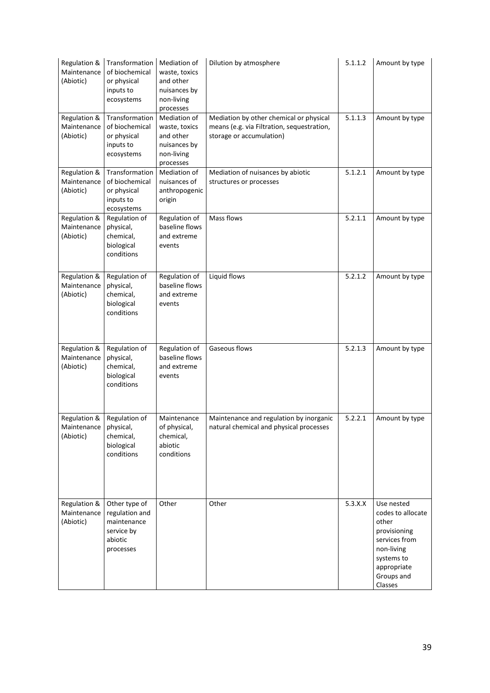| Regulation &<br>Maintenance<br>(Abiotic)             | Transformation<br>of biochemical<br>or physical<br>inputs to<br>ecosystems           | Mediation of<br>waste, toxics<br>and other<br>nuisances by<br>non-living<br>processes | Dilution by atmosphere                                                                                            | 5.1.1.2 | Amount by type                                                                                                                                |
|------------------------------------------------------|--------------------------------------------------------------------------------------|---------------------------------------------------------------------------------------|-------------------------------------------------------------------------------------------------------------------|---------|-----------------------------------------------------------------------------------------------------------------------------------------------|
| Regulation &<br>Maintenance<br>(Abiotic)             | Transformation<br>of biochemical<br>or physical<br>inputs to<br>ecosystems           | Mediation of<br>waste, toxics<br>and other<br>nuisances by<br>non-living<br>processes | Mediation by other chemical or physical<br>means (e.g. via Filtration, sequestration,<br>storage or accumulation) | 5.1.1.3 | Amount by type                                                                                                                                |
| Regulation &<br>Maintenance<br>(Abiotic)             | Transformation<br>of biochemical<br>or physical<br>inputs to<br>ecosystems           | Mediation of<br>nuisances of<br>anthropogenic<br>origin                               | Mediation of nuisances by abiotic<br>structures or processes                                                      | 5.1.2.1 | Amount by type                                                                                                                                |
| Regulation &<br>Maintenance<br>(Abiotic)             | Regulation of<br>physical,<br>chemical,<br>biological<br>conditions                  | Regulation of<br>baseline flows<br>and extreme<br>events                              | Mass flows                                                                                                        | 5.2.1.1 | Amount by type                                                                                                                                |
| Regulation &<br>Maintenance<br>(Abiotic)             | Regulation of<br>physical,<br>chemical,<br>biological<br>conditions                  | Regulation of<br>baseline flows<br>and extreme<br>events                              | Liquid flows                                                                                                      | 5.2.1.2 | Amount by type                                                                                                                                |
| Regulation &<br>Maintenance<br>(Abiotic)             | Regulation of<br>physical,<br>chemical,<br>biological<br>conditions                  | Regulation of<br>baseline flows<br>and extreme<br>events                              | Gaseous flows                                                                                                     | 5.2.1.3 | Amount by type                                                                                                                                |
| Regulation &<br>Maintenance   physical,<br>(Abiotic) | Regulation of<br>chemical,<br>biological<br>conditions                               | Maintenance<br>of physical,<br>chemical,<br>abiotic<br>conditions                     | Maintenance and regulation by inorganic<br>natural chemical and physical processes                                | 5.2.2.1 | Amount by type                                                                                                                                |
| Regulation &<br>Maintenance<br>(Abiotic)             | Other type of<br>regulation and<br>maintenance<br>service by<br>abiotic<br>processes | Other                                                                                 | Other                                                                                                             | 5.3.X.X | Use nested<br>codes to allocate<br>other<br>provisioning<br>services from<br>non-living<br>systems to<br>appropriate<br>Groups and<br>Classes |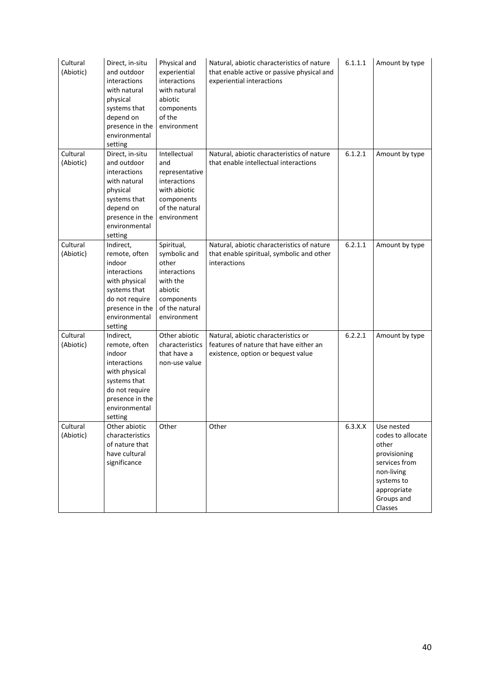| Cultural<br>(Abiotic) | Direct, in-situ<br>and outdoor<br>interactions<br>with natural<br>physical<br>systems that<br>depend on<br>presence in the<br>environmental<br>setting | Physical and<br>experiential<br>interactions<br>with natural<br>abiotic<br>components<br>of the<br>environment            | Natural, abiotic characteristics of nature<br>that enable active or passive physical and<br>experiential interactions | 6.1.1.1 | Amount by type                                                                                                                                |
|-----------------------|--------------------------------------------------------------------------------------------------------------------------------------------------------|---------------------------------------------------------------------------------------------------------------------------|-----------------------------------------------------------------------------------------------------------------------|---------|-----------------------------------------------------------------------------------------------------------------------------------------------|
| Cultural<br>(Abiotic) | Direct, in-situ<br>and outdoor<br>interactions<br>with natural<br>physical<br>systems that<br>depend on<br>presence in the<br>environmental<br>setting | Intellectual<br>and<br>representative<br>interactions<br>with abiotic<br>components<br>of the natural<br>environment      | Natural, abiotic characteristics of nature<br>that enable intellectual interactions                                   | 6.1.2.1 | Amount by type                                                                                                                                |
| Cultural<br>(Abiotic) | Indirect,<br>remote, often<br>indoor<br>interactions<br>with physical<br>systems that<br>do not require<br>presence in the<br>environmental<br>setting | Spiritual,<br>symbolic and<br>other<br>interactions<br>with the<br>abiotic<br>components<br>of the natural<br>environment | Natural, abiotic characteristics of nature<br>that enable spiritual, symbolic and other<br>interactions               | 6.2.1.1 | Amount by type                                                                                                                                |
| Cultural<br>(Abiotic) | Indirect,<br>remote, often<br>indoor<br>interactions<br>with physical<br>systems that<br>do not require<br>presence in the<br>environmental<br>setting | Other abiotic<br>characteristics<br>that have a<br>non-use value                                                          | Natural, abiotic characteristics or<br>features of nature that have either an<br>existence, option or bequest value   | 6.2.2.1 | Amount by type                                                                                                                                |
| Cultural<br>(Abiotic) | Other abiotic<br>characteristics<br>of nature that<br>have cultural<br>significance                                                                    | <b>Other</b>                                                                                                              | Other                                                                                                                 | 6.3.X.X | Use nested<br>codes to allocate<br>other<br>provisioning<br>services from<br>non-living<br>systems to<br>appropriate<br>Groups and<br>Classes |